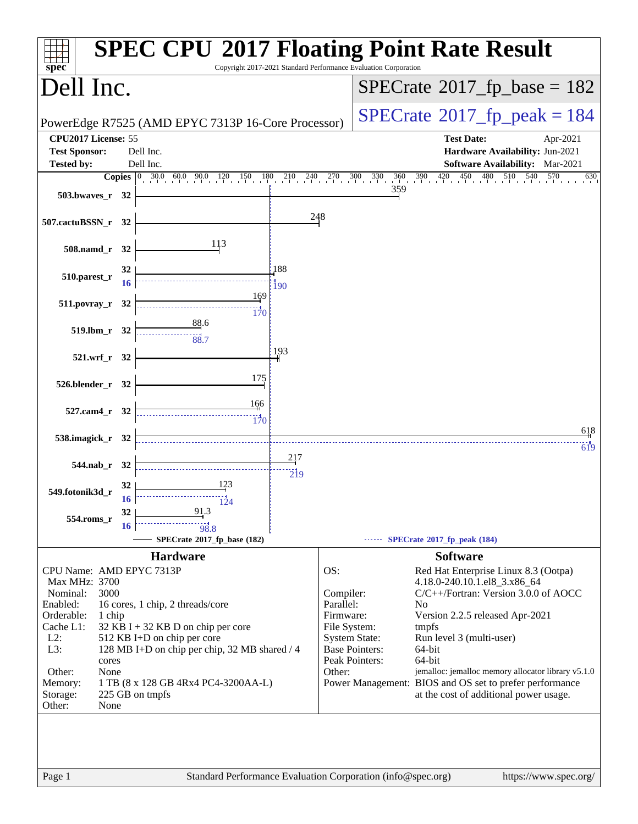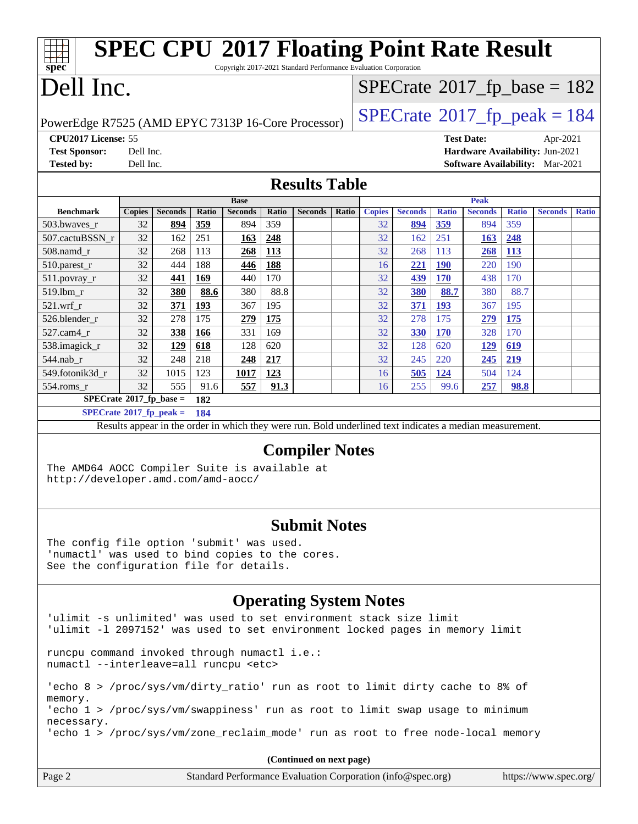| <b>SPEC CPU®2017 Floating Point Rate Result</b><br>spec<br>Copyright 2017-2021 Standard Performance Evaluation Corporation              |                                                                                                      |                |            |                |       |                                                                                                          |       |               |                |              |                |              |                                       |              |
|-----------------------------------------------------------------------------------------------------------------------------------------|------------------------------------------------------------------------------------------------------|----------------|------------|----------------|-------|----------------------------------------------------------------------------------------------------------|-------|---------------|----------------|--------------|----------------|--------------|---------------------------------------|--------------|
| Dell Inc.                                                                                                                               |                                                                                                      |                |            |                |       |                                                                                                          |       |               |                |              |                |              | $SPECrate^{\circ}2017_fp\_base = 182$ |              |
| PowerEdge R7525 (AMD EPYC 7313P 16-Core Processor)                                                                                      |                                                                                                      |                |            |                |       |                                                                                                          |       |               |                |              |                |              | $SPECTate@2017_fp\_peak = 184$        |              |
| <b>Test Sponsor:</b><br><b>Tested by:</b>                                                                                               | CPU2017 License: 55<br><b>Test Date:</b><br>Apr-2021<br>Dell Inc.<br>Hardware Availability: Jun-2021 |                |            |                |       |                                                                                                          |       |               |                |              |                |              |                                       |              |
|                                                                                                                                         | Dell Inc.<br><b>Software Availability:</b> Mar-2021<br><b>Results Table</b>                          |                |            |                |       |                                                                                                          |       |               |                |              |                |              |                                       |              |
|                                                                                                                                         |                                                                                                      |                |            | <b>Base</b>    |       |                                                                                                          |       |               |                |              | <b>Peak</b>    |              |                                       |              |
| <b>Benchmark</b>                                                                                                                        | <b>Copies</b>                                                                                        | <b>Seconds</b> | Ratio      | <b>Seconds</b> | Ratio | <b>Seconds</b>                                                                                           | Ratio | <b>Copies</b> | <b>Seconds</b> | <b>Ratio</b> | <b>Seconds</b> | <b>Ratio</b> | <b>Seconds</b>                        | <b>Ratio</b> |
| 503.bwaves_r                                                                                                                            | 32                                                                                                   | 894            | 359        | 894            | 359   |                                                                                                          |       | 32            | 894            | 359          | 894            | 359          |                                       |              |
| 507.cactuBSSN_r                                                                                                                         | 32                                                                                                   | 162            | 251        | 163            | 248   |                                                                                                          |       | 32            | 162            | 251          | 163            | 248          |                                       |              |
| 508.namd_r                                                                                                                              | 32                                                                                                   | 268            | 113        | <b>268</b>     | 113   |                                                                                                          |       | 32            | 268            | 113          | 268            | <u>113</u>   |                                       |              |
| 510.parest_r                                                                                                                            | 32                                                                                                   | 444            | 188        | 446            | 188   |                                                                                                          |       | 16            | 221            | <b>190</b>   | 220            | 190          |                                       |              |
| 511.povray_r                                                                                                                            | 32                                                                                                   | 441            | 169        | 440            | 170   |                                                                                                          |       | 32            | 439            | <b>170</b>   | 438            | 170          |                                       |              |
| 519.1bm_r                                                                                                                               | 32                                                                                                   | 380            | 88.6       | 380            | 88.8  |                                                                                                          |       | 32            | 380            | 88.7         | 380            | 88.7         |                                       |              |
| 521.wrf                                                                                                                                 | 32                                                                                                   | 371            | <b>193</b> | 367            | 195   |                                                                                                          |       | 32            | 371            | 193          | 367            | 195          |                                       |              |
| 526.blender_r                                                                                                                           | 32                                                                                                   | 278            | 175        | 279            | 175   |                                                                                                          |       | 32            | 278            | 175          | 279            | <b>175</b>   |                                       |              |
| 527.cam4_r                                                                                                                              | 32                                                                                                   | 338            | <u>166</u> | 331            | 169   |                                                                                                          |       | 32            | <b>330</b>     | <b>170</b>   | 328            | 170          |                                       |              |
| 538.imagick_r                                                                                                                           | 32                                                                                                   | 129            | 618        | 128            | 620   |                                                                                                          |       | 32            | 128            | 620          | 129            | 619          |                                       |              |
| 544.nab_r                                                                                                                               | 32                                                                                                   | 248            | 218        | 248            | 217   |                                                                                                          |       | 32            | 245            | 220          | 245            | 219          |                                       |              |
| 549.fotonik3d_r                                                                                                                         | 32                                                                                                   | 1015           | 123        | <u>1017</u>    | 123   |                                                                                                          |       | 16            | 505            | 124          | 504            | 124          |                                       |              |
| 554.roms_r                                                                                                                              | 32                                                                                                   | 555            | 91.6       | 557            | 91.3  |                                                                                                          |       | 16            | 255            | 99.6         | 257            | 98.8         |                                       |              |
| $SPECrate*2017_fp\_base =$                                                                                                              |                                                                                                      |                | 182        |                |       |                                                                                                          |       |               |                |              |                |              |                                       |              |
| $SPECrate^*2017_fp_peak =$                                                                                                              |                                                                                                      |                | 184        |                |       |                                                                                                          |       |               |                |              |                |              |                                       |              |
|                                                                                                                                         |                                                                                                      |                |            |                |       | Results appear in the order in which they were run. Bold underlined text indicates a median measurement. |       |               |                |              |                |              |                                       |              |
| <b>Compiler Notes</b><br>The AMD64 AOCC Compiler Suite is available at<br>http://developer.amd.com/amd-aocc/                            |                                                                                                      |                |            |                |       |                                                                                                          |       |               |                |              |                |              |                                       |              |
| The config file option 'submit' was used.<br>'numactl' was used to bind copies to the cores.<br>See the configuration file for details. |                                                                                                      |                |            |                |       | <b>Submit Notes</b>                                                                                      |       |               |                |              |                |              |                                       |              |
|                                                                                                                                         |                                                                                                      |                |            |                |       | <b>Operating System Notes</b>                                                                            |       |               |                |              |                |              |                                       |              |

| 'ulimit -s unlimited' was used to set environment stack size limit<br>'ulimit -1 2097152' was used to set environment locked pages in memory limit |  |  |  |  |  |
|----------------------------------------------------------------------------------------------------------------------------------------------------|--|--|--|--|--|
| runcpu command invoked through numactl i.e.:<br>numactl --interleave=all runcpu <etc></etc>                                                        |  |  |  |  |  |
| 'echo 8 > /proc/sys/vm/dirty_ratio' run as root to limit dirty cache to 8% of<br>memory.                                                           |  |  |  |  |  |
| 'echo 1 > /proc/sys/vm/swappiness' run as root to limit swap usage to minimum<br>necessary.                                                        |  |  |  |  |  |
| 'echo $1$ > /proc/sys/vm/zone reclaim mode' run as root to free node-local memory                                                                  |  |  |  |  |  |
| (Continued on next page)                                                                                                                           |  |  |  |  |  |

| Page 2 | Standard Performance Evaluation Corporation (info@spec.org) | https://www.spec.org/ |
|--------|-------------------------------------------------------------|-----------------------|
|--------|-------------------------------------------------------------|-----------------------|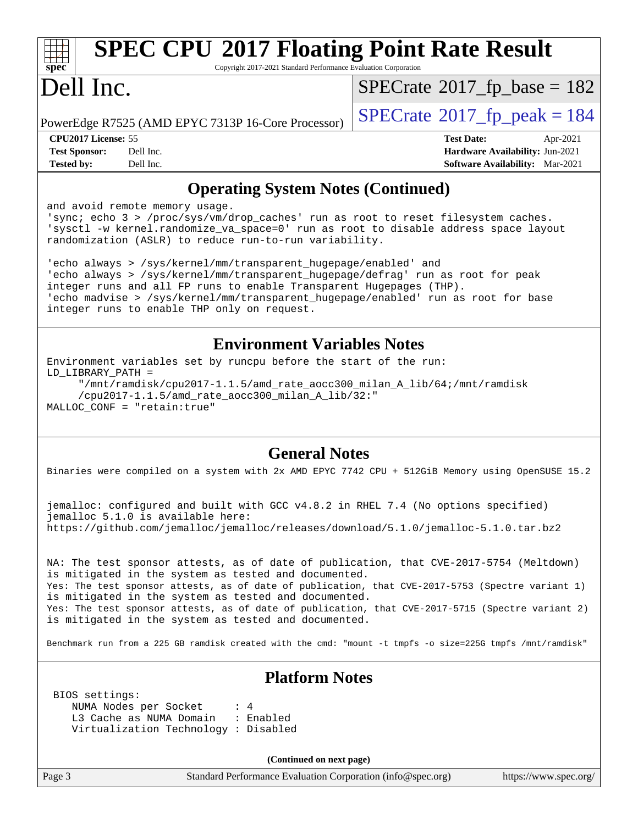### **[SPEC CPU](http://www.spec.org/auto/cpu2017/Docs/result-fields.html#SPECCPU2017FloatingPointRateResult)[2017 Floating Point Rate Result](http://www.spec.org/auto/cpu2017/Docs/result-fields.html#SPECCPU2017FloatingPointRateResult)**

Copyright 2017-2021 Standard Performance Evaluation Corporation

### Dell Inc.

 $SPECrate$ <sup>®</sup>[2017\\_fp\\_base =](http://www.spec.org/auto/cpu2017/Docs/result-fields.html#SPECrate2017fpbase) 182

PowerEdge R7525 (AMD EPYC 7313P 16-Core Processor)  $\left| \text{SP} \right|$ 

| $ECrate^{\circ}2017$ _fp_peak = 184 |  |
|-------------------------------------|--|
|-------------------------------------|--|

**[CPU2017 License:](http://www.spec.org/auto/cpu2017/Docs/result-fields.html#CPU2017License)** 55 **[Test Date:](http://www.spec.org/auto/cpu2017/Docs/result-fields.html#TestDate)** Apr-2021 **[Test Sponsor:](http://www.spec.org/auto/cpu2017/Docs/result-fields.html#TestSponsor)** Dell Inc. **[Hardware Availability:](http://www.spec.org/auto/cpu2017/Docs/result-fields.html#HardwareAvailability)** Jun-2021 **[Tested by:](http://www.spec.org/auto/cpu2017/Docs/result-fields.html#Testedby)** Dell Inc. **[Software Availability:](http://www.spec.org/auto/cpu2017/Docs/result-fields.html#SoftwareAvailability)** Mar-2021

### **[Operating System Notes \(Continued\)](http://www.spec.org/auto/cpu2017/Docs/result-fields.html#OperatingSystemNotes)**

and avoid remote memory usage.

'sync; echo 3 > /proc/sys/vm/drop\_caches' run as root to reset filesystem caches. 'sysctl -w kernel.randomize\_va\_space=0' run as root to disable address space layout randomization (ASLR) to reduce run-to-run variability.

'echo always > /sys/kernel/mm/transparent\_hugepage/enabled' and 'echo always > /sys/kernel/mm/transparent\_hugepage/defrag' run as root for peak integer runs and all FP runs to enable Transparent Hugepages (THP). 'echo madvise > /sys/kernel/mm/transparent\_hugepage/enabled' run as root for base integer runs to enable THP only on request.

#### **[Environment Variables Notes](http://www.spec.org/auto/cpu2017/Docs/result-fields.html#EnvironmentVariablesNotes)**

Environment variables set by runcpu before the start of the run: LD\_LIBRARY\_PATH = "/mnt/ramdisk/cpu2017-1.1.5/amd\_rate\_aocc300\_milan\_A\_lib/64;/mnt/ramdisk /cpu2017-1.1.5/amd\_rate\_aocc300\_milan\_A\_lib/32:" MALLOC\_CONF = "retain:true"

#### **[General Notes](http://www.spec.org/auto/cpu2017/Docs/result-fields.html#GeneralNotes)**

Binaries were compiled on a system with 2x AMD EPYC 7742 CPU + 512GiB Memory using OpenSUSE 15.2

jemalloc: configured and built with GCC v4.8.2 in RHEL 7.4 (No options specified) jemalloc 5.1.0 is available here: <https://github.com/jemalloc/jemalloc/releases/download/5.1.0/jemalloc-5.1.0.tar.bz2>

NA: The test sponsor attests, as of date of publication, that CVE-2017-5754 (Meltdown) is mitigated in the system as tested and documented. Yes: The test sponsor attests, as of date of publication, that CVE-2017-5753 (Spectre variant 1) is mitigated in the system as tested and documented. Yes: The test sponsor attests, as of date of publication, that CVE-2017-5715 (Spectre variant 2) is mitigated in the system as tested and documented.

Benchmark run from a 225 GB ramdisk created with the cmd: "mount -t tmpfs -o size=225G tmpfs /mnt/ramdisk"

BIOS settings:

#### **[Platform Notes](http://www.spec.org/auto/cpu2017/Docs/result-fields.html#PlatformNotes)**

NUMA Nodes per Socket : 4 L3 Cache as NUMA Domain : Enabled Virtualization Technology : Disabled

**(Continued on next page)**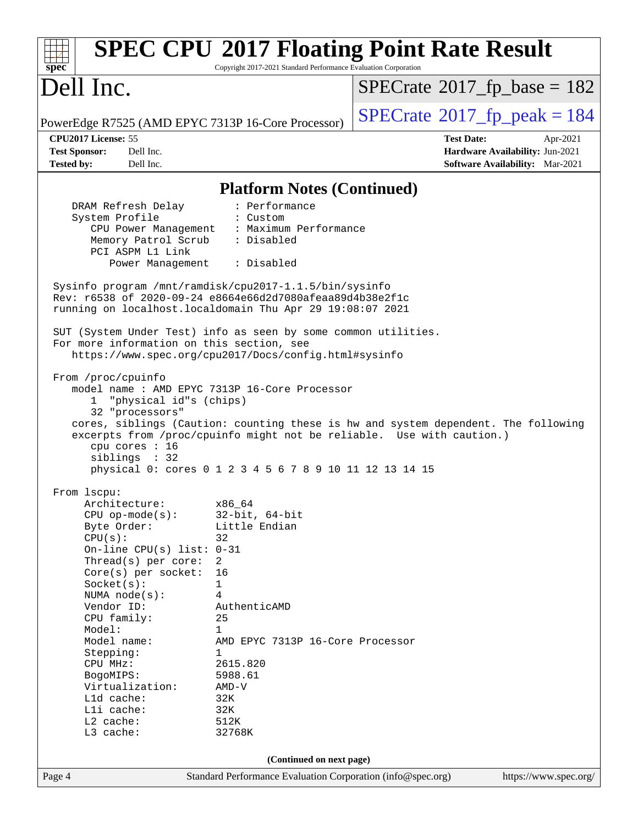| spec                                                                                                                                                                                                                                                                                                                                                                     | Copyright 2017-2021 Standard Performance Evaluation Corporation                                                                                                                                                            | <b>SPEC CPU®2017 Floating Point Rate Result</b>                                                                                                             |  |
|--------------------------------------------------------------------------------------------------------------------------------------------------------------------------------------------------------------------------------------------------------------------------------------------------------------------------------------------------------------------------|----------------------------------------------------------------------------------------------------------------------------------------------------------------------------------------------------------------------------|-------------------------------------------------------------------------------------------------------------------------------------------------------------|--|
| Dell Inc.                                                                                                                                                                                                                                                                                                                                                                |                                                                                                                                                                                                                            | $SPECrate^{\circ}2017$ fp base = 182                                                                                                                        |  |
| PowerEdge R7525 (AMD EPYC 7313P 16-Core Processor)                                                                                                                                                                                                                                                                                                                       |                                                                                                                                                                                                                            | $SPECTate$ <sup>®</sup> 2017_fp_peak = 184                                                                                                                  |  |
| CPU2017 License: 55<br>Dell Inc.<br><b>Test Sponsor:</b>                                                                                                                                                                                                                                                                                                                 |                                                                                                                                                                                                                            | <b>Test Date:</b><br>Apr-2021<br>Hardware Availability: Jun-2021                                                                                            |  |
| Dell Inc.<br><b>Tested by:</b>                                                                                                                                                                                                                                                                                                                                           |                                                                                                                                                                                                                            | Software Availability: Mar-2021                                                                                                                             |  |
|                                                                                                                                                                                                                                                                                                                                                                          | <b>Platform Notes (Continued)</b>                                                                                                                                                                                          |                                                                                                                                                             |  |
| DRAM Refresh Delay<br>System Profile<br>CPU Power Management<br>Memory Patrol Scrub<br>PCI ASPM L1 Link<br>Power Management : Disabled<br>Sysinfo program /mnt/ramdisk/cpu2017-1.1.5/bin/sysinfo<br>Rev: r6538 of 2020-09-24 e8664e66d2d7080afeaa89d4b38e2f1c<br>running on localhost.localdomain Thu Apr 29 19:08:07 2021                                               | : Performance<br>: Custom<br>: Maximum Performance<br>: Disabled                                                                                                                                                           |                                                                                                                                                             |  |
| SUT (System Under Test) info as seen by some common utilities.<br>For more information on this section, see                                                                                                                                                                                                                                                              | https://www.spec.org/cpu2017/Docs/config.html#sysinfo                                                                                                                                                                      |                                                                                                                                                             |  |
| "physical id"s (chips)<br>1<br>32 "processors"<br>cpu cores : 16<br>siblings : 32                                                                                                                                                                                                                                                                                        | model name: AMD EPYC 7313P 16-Core Processor<br>physical 0: cores 0 1 2 3 4 5 6 7 8 9 10 11 12 13 14 15                                                                                                                    | cores, siblings (Caution: counting these is hw and system dependent. The following<br>excerpts from /proc/cpuinfo might not be reliable. Use with caution.) |  |
| From 1scpu:<br>Architecture:<br>$CPU$ op-mode( $s$ ):<br>Byte Order:<br>CPU(s):<br>On-line CPU(s) list: $0-31$<br>Thread( $s$ ) per core:<br>Core(s) per socket:<br>Socket(s):<br>NUMA $node(s):$<br>Vendor ID:<br>CPU family:<br>Model:<br>Model name:<br>Stepping:<br>CPU MHz:<br>BogoMIPS:<br>Virtualization:<br>L1d cache:<br>Lli cache:<br>$L2$ cache:<br>L3 cache: | x86_64<br>$32$ -bit, $64$ -bit<br>Little Endian<br>32<br>2<br>16<br>1<br>4<br>AuthenticAMD<br>25<br>$\mathbf 1$<br>AMD EPYC 7313P 16-Core Processor<br>1<br>2615.820<br>5988.61<br>$AMD-V$<br>32K<br>32K<br>512K<br>32768K |                                                                                                                                                             |  |
|                                                                                                                                                                                                                                                                                                                                                                          | (Continued on next page)                                                                                                                                                                                                   |                                                                                                                                                             |  |
| Page 4                                                                                                                                                                                                                                                                                                                                                                   | Standard Performance Evaluation Corporation (info@spec.org)                                                                                                                                                                | https://www.spec.org/                                                                                                                                       |  |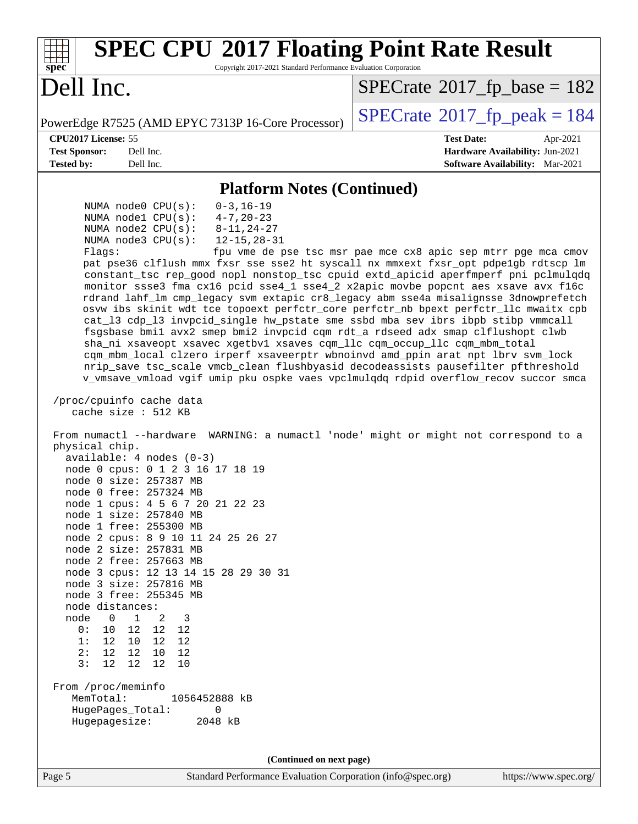| <b>SPEC CPU®2017 Floating Point Rate Result</b><br>Copyright 2017-2021 Standard Performance Evaluation Corporation<br>spec®                                                                                                                                                                                                                                                                                                                                                                                                                                                                                                                                                                                                                                                                                                                                                                                                                                                                                                                                                                                                                                                                                                                                                                                                                                                                                                                                                                                                                                                                                                                                                                                                                                                                                                                                                                                                                                                                                                                  |                                                                                                            |
|----------------------------------------------------------------------------------------------------------------------------------------------------------------------------------------------------------------------------------------------------------------------------------------------------------------------------------------------------------------------------------------------------------------------------------------------------------------------------------------------------------------------------------------------------------------------------------------------------------------------------------------------------------------------------------------------------------------------------------------------------------------------------------------------------------------------------------------------------------------------------------------------------------------------------------------------------------------------------------------------------------------------------------------------------------------------------------------------------------------------------------------------------------------------------------------------------------------------------------------------------------------------------------------------------------------------------------------------------------------------------------------------------------------------------------------------------------------------------------------------------------------------------------------------------------------------------------------------------------------------------------------------------------------------------------------------------------------------------------------------------------------------------------------------------------------------------------------------------------------------------------------------------------------------------------------------------------------------------------------------------------------------------------------------|------------------------------------------------------------------------------------------------------------|
| Dell Inc.                                                                                                                                                                                                                                                                                                                                                                                                                                                                                                                                                                                                                                                                                                                                                                                                                                                                                                                                                                                                                                                                                                                                                                                                                                                                                                                                                                                                                                                                                                                                                                                                                                                                                                                                                                                                                                                                                                                                                                                                                                    | $SPECrate^{\circ}2017$ [p base = 182                                                                       |
| PowerEdge R7525 (AMD EPYC 7313P 16-Core Processor)                                                                                                                                                                                                                                                                                                                                                                                                                                                                                                                                                                                                                                                                                                                                                                                                                                                                                                                                                                                                                                                                                                                                                                                                                                                                                                                                                                                                                                                                                                                                                                                                                                                                                                                                                                                                                                                                                                                                                                                           | $SPECTate@2017_fp\_peak = 184$                                                                             |
| <b>CPU2017 License: 55</b><br><b>Test Sponsor:</b><br>Dell Inc.<br><b>Tested by:</b><br>Dell Inc.                                                                                                                                                                                                                                                                                                                                                                                                                                                                                                                                                                                                                                                                                                                                                                                                                                                                                                                                                                                                                                                                                                                                                                                                                                                                                                                                                                                                                                                                                                                                                                                                                                                                                                                                                                                                                                                                                                                                            | <b>Test Date:</b><br>Apr-2021<br>Hardware Availability: Jun-2021<br><b>Software Availability:</b> Mar-2021 |
| <b>Platform Notes (Continued)</b>                                                                                                                                                                                                                                                                                                                                                                                                                                                                                                                                                                                                                                                                                                                                                                                                                                                                                                                                                                                                                                                                                                                                                                                                                                                                                                                                                                                                                                                                                                                                                                                                                                                                                                                                                                                                                                                                                                                                                                                                            |                                                                                                            |
| NUMA $node0$ $CPU(s):$<br>$0 - 3, 16 - 19$<br>NUMA $node1$ $CPU(s):$<br>$4 - 7, 20 - 23$<br>NUMA $node2$ $CPU(s)$ :<br>$8 - 11, 24 - 27$<br>NUMA $node3$ $CPU(s):$<br>$12 - 15, 28 - 31$<br>Flags:<br>pat pse36 clflush mmx fxsr sse sse2 ht syscall nx mmxext fxsr_opt pdpe1gb rdtscp lm<br>constant_tsc rep_good nopl nonstop_tsc cpuid extd_apicid aperfmperf pni pclmulqdq<br>monitor ssse3 fma cx16 pcid sse4_1 sse4_2 x2apic movbe popcnt aes xsave avx f16c<br>rdrand lahf_lm cmp_legacy svm extapic cr8_legacy abm sse4a misalignsse 3dnowprefetch<br>osvw ibs skinit wdt tce topoext perfctr_core perfctr_nb bpext perfctr_llc mwaitx cpb<br>cat_13 cdp_13 invpcid_single hw_pstate sme ssbd mba sev ibrs ibpb stibp vmmcall<br>fsgsbase bmil avx2 smep bmi2 invpcid cgm rdt_a rdseed adx smap clflushopt clwb<br>sha_ni xsaveopt xsavec xgetbvl xsaves cqm_llc cqm_occup_llc cqm_mbm_total<br>cqm_mbm_local clzero irperf xsaveerptr wbnoinvd amd_ppin arat npt lbrv svm_lock<br>nrip_save tsc_scale vmcb_clean flushbyasid decodeassists pausefilter pfthreshold<br>v_vmsave_vmload vgif umip pku ospke vaes vpclmulqdq rdpid overflow_recov succor smca<br>/proc/cpuinfo cache data<br>cache size $: 512$ KB<br>From numactl --hardware WARNING: a numactl 'node' might or might not correspond to a<br>physical chip.<br>available: $4$ nodes $(0-3)$<br>node 0 cpus: 0 1 2 3 16 17 18 19<br>node 0 size: 257387 MB<br>node 0 free: 257324 MB<br>node 1 cpus: 4 5 6 7 20 21 22 23<br>node 1 size: 257840 MB<br>node 1 free: 255300 MB<br>node 2 cpus: 8 9 10 11 24 25 26 27<br>node 2 size: 257831 MB<br>node 2 free: 257663 MB<br>node 3 cpus: 12 13 14 15 28 29 30 31<br>node 3 size: 257816 MB<br>node 3 free: 255345 MB<br>node distances:<br>node<br>$\overline{0}$<br>$\overline{1}$<br>2<br>3<br>0:<br>10<br>12 12<br>12<br>1:12<br>10 12 12<br>2:<br>12<br>12 10 12<br>3:<br>12 <sub>1</sub><br>12<br>12<br>10<br>From /proc/meminfo<br>MemTotal:<br>1056452888 kB<br>HugePages_Total:<br>0<br>Hugepagesize:<br>2048 kB | fpu vme de pse tsc msr pae mce cx8 apic sep mtrr pge mca cmov                                              |
| (Continued on next page)                                                                                                                                                                                                                                                                                                                                                                                                                                                                                                                                                                                                                                                                                                                                                                                                                                                                                                                                                                                                                                                                                                                                                                                                                                                                                                                                                                                                                                                                                                                                                                                                                                                                                                                                                                                                                                                                                                                                                                                                                     |                                                                                                            |
| Standard Performance Evaluation Corporation (info@spec.org)<br>Page 5                                                                                                                                                                                                                                                                                                                                                                                                                                                                                                                                                                                                                                                                                                                                                                                                                                                                                                                                                                                                                                                                                                                                                                                                                                                                                                                                                                                                                                                                                                                                                                                                                                                                                                                                                                                                                                                                                                                                                                        | https://www.spec.org/                                                                                      |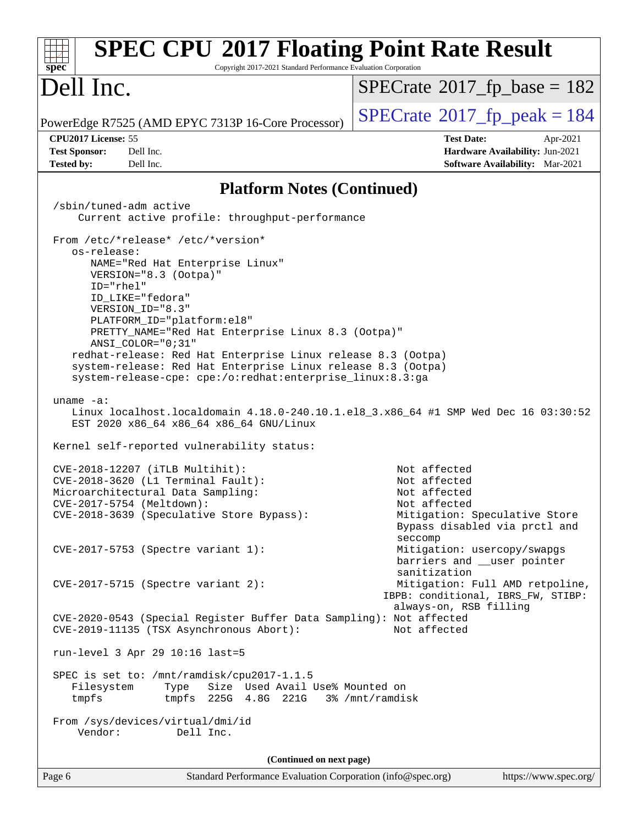| <b>SPEC CPU®2017 Floating Point Rate Result</b><br>Copyright 2017-2021 Standard Performance Evaluation Corporation<br>spec <sup>®</sup>                                                   |                                                                                                     |
|-------------------------------------------------------------------------------------------------------------------------------------------------------------------------------------------|-----------------------------------------------------------------------------------------------------|
| Dell Inc.                                                                                                                                                                                 | $SPECrate^{\circ}2017$ fp base = 182                                                                |
| PowerEdge R7525 (AMD EPYC 7313P 16-Core Processor)                                                                                                                                        | $SPECTate$ <sup>®</sup> 2017_fp_peak = 184                                                          |
| CPU2017 License: 55<br><b>Test Sponsor:</b><br>Dell Inc.<br><b>Tested by:</b><br>Dell Inc.                                                                                                | <b>Test Date:</b><br>Apr-2021<br>Hardware Availability: Jun-2021<br>Software Availability: Mar-2021 |
|                                                                                                                                                                                           |                                                                                                     |
| <b>Platform Notes (Continued)</b>                                                                                                                                                         |                                                                                                     |
| /sbin/tuned-adm active<br>Current active profile: throughput-performance                                                                                                                  |                                                                                                     |
| From /etc/*release* /etc/*version*<br>os-release:                                                                                                                                         |                                                                                                     |
| NAME="Red Hat Enterprise Linux"<br>VERSION="8.3 (Ootpa)"<br>ID="rhel"                                                                                                                     |                                                                                                     |
| ID LIKE="fedora"<br>VERSION_ID="8.3"                                                                                                                                                      |                                                                                                     |
| PLATFORM_ID="platform:el8"<br>PRETTY_NAME="Red Hat Enterprise Linux 8.3 (Ootpa)"<br>$ANSI$ _COLOR=" $0:31$ "                                                                              |                                                                                                     |
| redhat-release: Red Hat Enterprise Linux release 8.3 (Ootpa)<br>system-release: Red Hat Enterprise Linux release 8.3 (Ootpa)<br>system-release-cpe: cpe:/o:redhat:enterprise_linux:8.3:ga |                                                                                                     |
| uname $-a$ :<br>Linux localhost.localdomain 4.18.0-240.10.1.el8_3.x86_64 #1 SMP Wed Dec 16 03:30:52<br>EST 2020 x86_64 x86_64 x86_64 GNU/Linux                                            |                                                                                                     |
| Kernel self-reported vulnerability status:                                                                                                                                                |                                                                                                     |
| CVE-2018-12207 (iTLB Multihit):<br>CVE-2018-3620 (L1 Terminal Fault):<br>Microarchitectural Data Sampling:<br>CVE-2017-5754 (Meltdown):                                                   | Not affected<br>Not affected<br>Not affected<br>Not affected                                        |
| CVE-2018-3639 (Speculative Store Bypass):                                                                                                                                                 | Mitigation: Speculative Store<br>Bypass disabled via prctl and<br>seccomp                           |
| CVE-2017-5753 (Spectre variant 1):                                                                                                                                                        | Mitigation: usercopy/swapgs<br>barriers and __user pointer<br>sanitization                          |
| $CVE-2017-5715$ (Spectre variant 2):                                                                                                                                                      | Mitigation: Full AMD retpoline,<br>IBPB: conditional, IBRS_FW, STIBP:                               |
| CVE-2020-0543 (Special Register Buffer Data Sampling): Not affected<br>CVE-2019-11135 (TSX Asynchronous Abort):                                                                           | always-on, RSB filling<br>Not affected                                                              |
| run-level 3 Apr 29 10:16 last=5                                                                                                                                                           |                                                                                                     |
| SPEC is set to: /mnt/ramdisk/cpu2017-1.1.5<br>Size Used Avail Use% Mounted on<br>Filesystem<br>Type<br>tmpfs<br>tmpfs $225G$ 4.8G $221G$ 3% /mnt/ramdisk                                  |                                                                                                     |
| From /sys/devices/virtual/dmi/id<br>Vendor:<br>Dell Inc.                                                                                                                                  |                                                                                                     |
| (Continued on next page)                                                                                                                                                                  |                                                                                                     |
| Standard Performance Evaluation Corporation (info@spec.org)<br>Page 6                                                                                                                     | https://www.spec.org/                                                                               |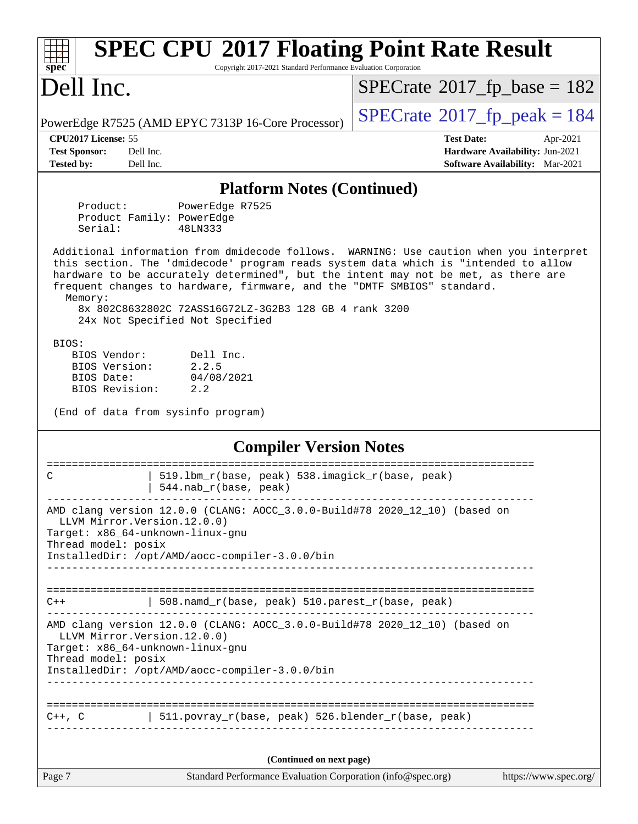| <b>SPEC CPU®2017 Floating Point Rate Result</b><br>Copyright 2017-2021 Standard Performance Evaluation Corporation<br>$\mathbf{spec}^*$                                                                                                                                                                                                                                                                                                               |                                                                                                            |  |  |  |  |
|-------------------------------------------------------------------------------------------------------------------------------------------------------------------------------------------------------------------------------------------------------------------------------------------------------------------------------------------------------------------------------------------------------------------------------------------------------|------------------------------------------------------------------------------------------------------------|--|--|--|--|
| Dell Inc.                                                                                                                                                                                                                                                                                                                                                                                                                                             | $SPECrate$ <sup>®</sup> 2017_fp_base = 182                                                                 |  |  |  |  |
| PowerEdge R7525 (AMD EPYC 7313P 16-Core Processor)                                                                                                                                                                                                                                                                                                                                                                                                    | $SPECTate@2017fp peak = 184$                                                                               |  |  |  |  |
| CPU2017 License: 55<br><b>Test Sponsor:</b><br>Dell Inc.<br><b>Tested by:</b><br>Dell Inc.                                                                                                                                                                                                                                                                                                                                                            | <b>Test Date:</b><br>Apr-2021<br>Hardware Availability: Jun-2021<br><b>Software Availability:</b> Mar-2021 |  |  |  |  |
|                                                                                                                                                                                                                                                                                                                                                                                                                                                       |                                                                                                            |  |  |  |  |
| <b>Platform Notes (Continued)</b>                                                                                                                                                                                                                                                                                                                                                                                                                     |                                                                                                            |  |  |  |  |
| Product:<br>PowerEdge R7525<br>Product Family: PowerEdge<br>Serial:<br>48LN333                                                                                                                                                                                                                                                                                                                                                                        |                                                                                                            |  |  |  |  |
| Additional information from dmidecode follows. WARNING: Use caution when you interpret<br>this section. The 'dmidecode' program reads system data which is "intended to allow<br>hardware to be accurately determined", but the intent may not be met, as there are<br>frequent changes to hardware, firmware, and the "DMTF SMBIOS" standard.<br>Memory:<br>8x 802C8632802C 72ASS16G72LZ-3G2B3 128 GB 4 rank 3200<br>24x Not Specified Not Specified |                                                                                                            |  |  |  |  |
| BIOS:<br>BIOS Vendor:<br>Dell Inc.<br>BIOS Version:<br>2.2.5<br>BIOS Date:<br>04/08/2021<br>BIOS Revision:<br>2.2                                                                                                                                                                                                                                                                                                                                     |                                                                                                            |  |  |  |  |
| (End of data from sysinfo program)                                                                                                                                                                                                                                                                                                                                                                                                                    |                                                                                                            |  |  |  |  |
| <b>Compiler Version Notes</b>                                                                                                                                                                                                                                                                                                                                                                                                                         |                                                                                                            |  |  |  |  |
| 519.1bm_r(base, peak) 538.imagick_r(base, peak)<br>C<br>544.nab_r(base, peak)                                                                                                                                                                                                                                                                                                                                                                         | ====================                                                                                       |  |  |  |  |
| AMD clang version 12.0.0 (CLANG: AOCC_3.0.0-Build#78 2020_12_10) (based on<br>LLVM Mirror. Version. 12.0.0)<br>Target: x86_64-unknown-linux-gnu<br>Thread model: posix<br>InstalledDir: /opt/AMD/aocc-compiler-3.0.0/bin                                                                                                                                                                                                                              |                                                                                                            |  |  |  |  |
| 508.namd_r(base, peak) 510.parest_r(base, peak)<br>$C++$                                                                                                                                                                                                                                                                                                                                                                                              |                                                                                                            |  |  |  |  |
| AMD clang version 12.0.0 (CLANG: AOCC_3.0.0-Build#78 2020_12_10) (based on<br>LLVM Mirror. Version. 12.0.0)<br>Target: x86_64-unknown-linux-gnu<br>Thread model: posix                                                                                                                                                                                                                                                                                |                                                                                                            |  |  |  |  |
| InstalledDir: /opt/AMD/aocc-compiler-3.0.0/bin                                                                                                                                                                                                                                                                                                                                                                                                        |                                                                                                            |  |  |  |  |
| 511.povray_r(base, peak) 526.blender_r(base, peak)<br>$C++$ , $C$                                                                                                                                                                                                                                                                                                                                                                                     |                                                                                                            |  |  |  |  |
| (Continued on next page)                                                                                                                                                                                                                                                                                                                                                                                                                              |                                                                                                            |  |  |  |  |
| Page 7<br>Standard Performance Evaluation Corporation (info@spec.org)                                                                                                                                                                                                                                                                                                                                                                                 | https://www.spec.org/                                                                                      |  |  |  |  |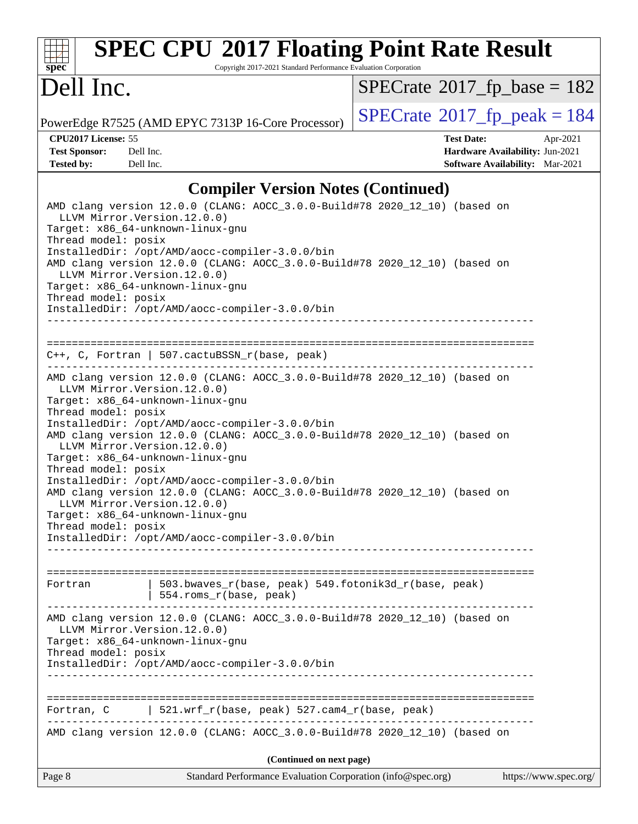## **[SPEC CPU](http://www.spec.org/auto/cpu2017/Docs/result-fields.html#SPECCPU2017FloatingPointRateResult)[2017 Floating Point Rate Result](http://www.spec.org/auto/cpu2017/Docs/result-fields.html#SPECCPU2017FloatingPointRateResult)**

Copyright 2017-2021 Standard Performance Evaluation Corporation

### Dell Inc.

 $SPECrate$ <sup>®</sup>[2017\\_fp\\_base =](http://www.spec.org/auto/cpu2017/Docs/result-fields.html#SPECrate2017fpbase) 182

PowerEdge R7525 (AMD EPYC 7313P 16-Core Processor)  $\left|$  [SPECrate](http://www.spec.org/auto/cpu2017/Docs/result-fields.html#SPECrate2017fppeak)®[2017\\_fp\\_peak = 1](http://www.spec.org/auto/cpu2017/Docs/result-fields.html#SPECrate2017fppeak)84

**[CPU2017 License:](http://www.spec.org/auto/cpu2017/Docs/result-fields.html#CPU2017License)** 55 **[Test Date:](http://www.spec.org/auto/cpu2017/Docs/result-fields.html#TestDate)** Apr-2021 **[Test Sponsor:](http://www.spec.org/auto/cpu2017/Docs/result-fields.html#TestSponsor)** Dell Inc. **[Hardware Availability:](http://www.spec.org/auto/cpu2017/Docs/result-fields.html#HardwareAvailability)** Jun-2021 **[Tested by:](http://www.spec.org/auto/cpu2017/Docs/result-fields.html#Testedby)** Dell Inc. **[Software Availability:](http://www.spec.org/auto/cpu2017/Docs/result-fields.html#SoftwareAvailability)** Mar-2021

### **[Compiler Version Notes \(Continued\)](http://www.spec.org/auto/cpu2017/Docs/result-fields.html#CompilerVersionNotes)**

| Page 8                                               | Standard Performance Evaluation Corporation (info@spec.org)                                                                                                      | https://www.spec.org/ |
|------------------------------------------------------|------------------------------------------------------------------------------------------------------------------------------------------------------------------|-----------------------|
|                                                      | (Continued on next page)                                                                                                                                         |                       |
|                                                      | AMD clang version 12.0.0 (CLANG: AOCC_3.0.0-Build#78 2020_12_10) (based on                                                                                       |                       |
| Fortran, C                                           | 521.wrf_r(base, peak) 527.cam4_r(base, peak)                                                                                                                     |                       |
|                                                      |                                                                                                                                                                  |                       |
| Thread model: posix                                  | Target: x86_64-unknown-linux-gnu<br>InstalledDir: /opt/AMD/aocc-compiler-3.0.0/bin                                                                               |                       |
| LLVM Mirror. Version. 12.0.0)                        | AMD clang version 12.0.0 (CLANG: AOCC_3.0.0-Build#78 2020_12_10) (based on                                                                                       |                       |
| Fortran                                              | 503.bwaves_r(base, peak) 549.fotonik3d_r(base, peak)<br>554.roms_r(base, peak)                                                                                   |                       |
| LLVM Mirror. Version. 12.0.0)<br>Thread model: posix | AMD clang version 12.0.0 (CLANG: AOCC_3.0.0-Build#78 2020_12_10) (based on<br>Target: x86_64-unknown-linux-gnu<br>InstalledDir: /opt/AMD/aocc-compiler-3.0.0/bin |                       |
| LLVM Mirror. Version. 12.0.0)<br>Thread model: posix | Target: x86_64-unknown-linux-gnu<br>InstalledDir: /opt/AMD/aocc-compiler-3.0.0/bin                                                                               |                       |
| Thread model: posix                                  | Target: x86_64-unknown-linux-gnu<br>InstalledDir: /opt/AMD/aocc-compiler-3.0.0/bin<br>AMD clang version 12.0.0 (CLANG: AOCC_3.0.0-Build#78 2020_12_10) (based on |                       |
| LLVM Mirror. Version. 12.0.0)                        | AMD clang version 12.0.0 (CLANG: AOCC_3.0.0-Build#78 2020_12_10) (based on                                                                                       |                       |
|                                                      | $C++$ , C, Fortran   507.cactuBSSN_r(base, peak)                                                                                                                 |                       |
|                                                      | InstalledDir: /opt/AMD/aocc-compiler-3.0.0/bin                                                                                                                   |                       |
| LLVM Mirror.Version.12.0.0)<br>Thread model: posix   | Target: x86_64-unknown-linux-gnu                                                                                                                                 |                       |
|                                                      | InstalledDir: /opt/AMD/aocc-compiler-3.0.0/bin<br>AMD clang version 12.0.0 (CLANG: AOCC_3.0.0-Build#78 2020_12_10) (based on                                     |                       |
| Thread model: posix                                  | Target: x86_64-unknown-linux-gnu                                                                                                                                 |                       |
| LLVM Mirror. Version. 12.0.0)                        |                                                                                                                                                                  |                       |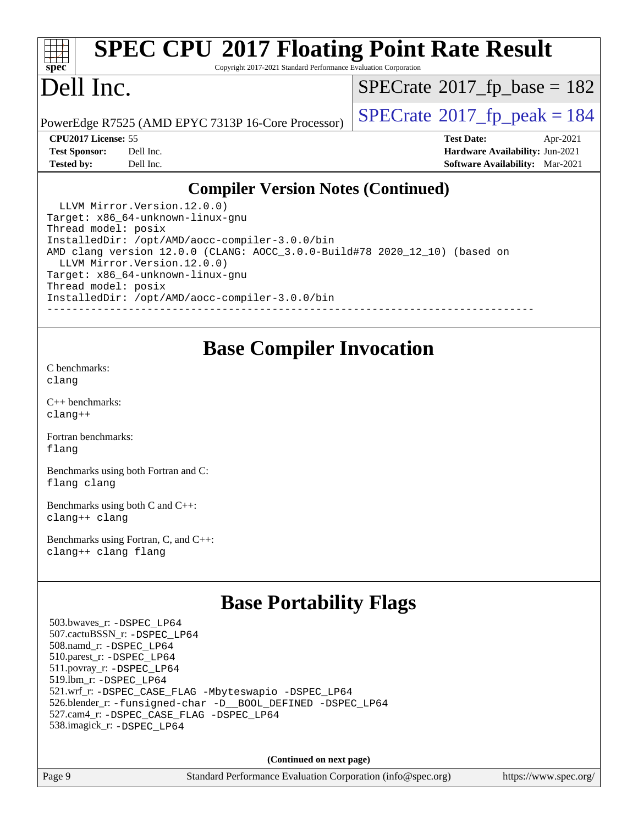### **[SPEC CPU](http://www.spec.org/auto/cpu2017/Docs/result-fields.html#SPECCPU2017FloatingPointRateResult)[2017 Floating Point Rate Result](http://www.spec.org/auto/cpu2017/Docs/result-fields.html#SPECCPU2017FloatingPointRateResult)**

Copyright 2017-2021 Standard Performance Evaluation Corporation

### Dell Inc.

 $SPECTate$ <sup>®</sup>[2017\\_fp\\_base =](http://www.spec.org/auto/cpu2017/Docs/result-fields.html#SPECrate2017fpbase) 182

PowerEdge R7525 (AMD EPYC 7313P 16-Core Processor)  $\vert$  [SPECrate](http://www.spec.org/auto/cpu2017/Docs/result-fields.html#SPECrate2017fppeak)®[2017\\_fp\\_peak = 1](http://www.spec.org/auto/cpu2017/Docs/result-fields.html#SPECrate2017fppeak)84

**[CPU2017 License:](http://www.spec.org/auto/cpu2017/Docs/result-fields.html#CPU2017License)** 55 **[Test Date:](http://www.spec.org/auto/cpu2017/Docs/result-fields.html#TestDate)** Apr-2021 **[Test Sponsor:](http://www.spec.org/auto/cpu2017/Docs/result-fields.html#TestSponsor)** Dell Inc. **[Hardware Availability:](http://www.spec.org/auto/cpu2017/Docs/result-fields.html#HardwareAvailability)** Jun-2021 **[Tested by:](http://www.spec.org/auto/cpu2017/Docs/result-fields.html#Testedby)** Dell Inc. **[Software Availability:](http://www.spec.org/auto/cpu2017/Docs/result-fields.html#SoftwareAvailability)** Mar-2021

### **[Compiler Version Notes \(Continued\)](http://www.spec.org/auto/cpu2017/Docs/result-fields.html#CompilerVersionNotes)**

 LLVM Mirror.Version.12.0.0) Target: x86\_64-unknown-linux-gnu Thread model: posix InstalledDir: /opt/AMD/aocc-compiler-3.0.0/bin AMD clang version 12.0.0 (CLANG: AOCC\_3.0.0-Build#78 2020\_12\_10) (based on LLVM Mirror.Version.12.0.0) Target: x86\_64-unknown-linux-gnu Thread model: posix InstalledDir: /opt/AMD/aocc-compiler-3.0.0/bin ------------------------------------------------------------------------------

### **[Base Compiler Invocation](http://www.spec.org/auto/cpu2017/Docs/result-fields.html#BaseCompilerInvocation)**

[C benchmarks](http://www.spec.org/auto/cpu2017/Docs/result-fields.html#Cbenchmarks): [clang](http://www.spec.org/cpu2017/results/res2021q3/cpu2017-20210510-26282.flags.html#user_CCbase_clang-c)

[C++ benchmarks:](http://www.spec.org/auto/cpu2017/Docs/result-fields.html#CXXbenchmarks) [clang++](http://www.spec.org/cpu2017/results/res2021q3/cpu2017-20210510-26282.flags.html#user_CXXbase_clang-cpp)

[Fortran benchmarks](http://www.spec.org/auto/cpu2017/Docs/result-fields.html#Fortranbenchmarks): [flang](http://www.spec.org/cpu2017/results/res2021q3/cpu2017-20210510-26282.flags.html#user_FCbase_flang)

[Benchmarks using both Fortran and C](http://www.spec.org/auto/cpu2017/Docs/result-fields.html#BenchmarksusingbothFortranandC): [flang](http://www.spec.org/cpu2017/results/res2021q3/cpu2017-20210510-26282.flags.html#user_CC_FCbase_flang) [clang](http://www.spec.org/cpu2017/results/res2021q3/cpu2017-20210510-26282.flags.html#user_CC_FCbase_clang-c)

[Benchmarks using both C and C++](http://www.spec.org/auto/cpu2017/Docs/result-fields.html#BenchmarksusingbothCandCXX): [clang++](http://www.spec.org/cpu2017/results/res2021q3/cpu2017-20210510-26282.flags.html#user_CC_CXXbase_clang-cpp) [clang](http://www.spec.org/cpu2017/results/res2021q3/cpu2017-20210510-26282.flags.html#user_CC_CXXbase_clang-c)

[Benchmarks using Fortran, C, and C++:](http://www.spec.org/auto/cpu2017/Docs/result-fields.html#BenchmarksusingFortranCandCXX) [clang++](http://www.spec.org/cpu2017/results/res2021q3/cpu2017-20210510-26282.flags.html#user_CC_CXX_FCbase_clang-cpp) [clang](http://www.spec.org/cpu2017/results/res2021q3/cpu2017-20210510-26282.flags.html#user_CC_CXX_FCbase_clang-c) [flang](http://www.spec.org/cpu2017/results/res2021q3/cpu2017-20210510-26282.flags.html#user_CC_CXX_FCbase_flang)

### **[Base Portability Flags](http://www.spec.org/auto/cpu2017/Docs/result-fields.html#BasePortabilityFlags)**

 503.bwaves\_r: [-DSPEC\\_LP64](http://www.spec.org/cpu2017/results/res2021q3/cpu2017-20210510-26282.flags.html#suite_baseEXTRA_PORTABILITY503_bwaves_r_DSPEC_LP64) 507.cactuBSSN\_r: [-DSPEC\\_LP64](http://www.spec.org/cpu2017/results/res2021q3/cpu2017-20210510-26282.flags.html#suite_baseEXTRA_PORTABILITY507_cactuBSSN_r_DSPEC_LP64) 508.namd\_r: [-DSPEC\\_LP64](http://www.spec.org/cpu2017/results/res2021q3/cpu2017-20210510-26282.flags.html#suite_baseEXTRA_PORTABILITY508_namd_r_DSPEC_LP64) 510.parest\_r: [-DSPEC\\_LP64](http://www.spec.org/cpu2017/results/res2021q3/cpu2017-20210510-26282.flags.html#suite_baseEXTRA_PORTABILITY510_parest_r_DSPEC_LP64) 511.povray\_r: [-DSPEC\\_LP64](http://www.spec.org/cpu2017/results/res2021q3/cpu2017-20210510-26282.flags.html#suite_baseEXTRA_PORTABILITY511_povray_r_DSPEC_LP64) 519.lbm\_r: [-DSPEC\\_LP64](http://www.spec.org/cpu2017/results/res2021q3/cpu2017-20210510-26282.flags.html#suite_baseEXTRA_PORTABILITY519_lbm_r_DSPEC_LP64) 521.wrf\_r: [-DSPEC\\_CASE\\_FLAG](http://www.spec.org/cpu2017/results/res2021q3/cpu2017-20210510-26282.flags.html#b521.wrf_r_baseCPORTABILITY_DSPEC_CASE_FLAG) [-Mbyteswapio](http://www.spec.org/cpu2017/results/res2021q3/cpu2017-20210510-26282.flags.html#user_baseFPORTABILITY521_wrf_r_F-mbyteswapio) [-DSPEC\\_LP64](http://www.spec.org/cpu2017/results/res2021q3/cpu2017-20210510-26282.flags.html#suite_baseEXTRA_PORTABILITY521_wrf_r_DSPEC_LP64) 526.blender\_r: [-funsigned-char](http://www.spec.org/cpu2017/results/res2021q3/cpu2017-20210510-26282.flags.html#user_baseCPORTABILITY526_blender_r_aocc-unsigned-char) [-D\\_\\_BOOL\\_DEFINED](http://www.spec.org/cpu2017/results/res2021q3/cpu2017-20210510-26282.flags.html#b526.blender_r_baseCXXPORTABILITY_D__BOOL_DEFINED) [-DSPEC\\_LP64](http://www.spec.org/cpu2017/results/res2021q3/cpu2017-20210510-26282.flags.html#suite_baseEXTRA_PORTABILITY526_blender_r_DSPEC_LP64) 527.cam4\_r: [-DSPEC\\_CASE\\_FLAG](http://www.spec.org/cpu2017/results/res2021q3/cpu2017-20210510-26282.flags.html#b527.cam4_r_basePORTABILITY_DSPEC_CASE_FLAG) [-DSPEC\\_LP64](http://www.spec.org/cpu2017/results/res2021q3/cpu2017-20210510-26282.flags.html#suite_baseEXTRA_PORTABILITY527_cam4_r_DSPEC_LP64) 538.imagick\_r: [-DSPEC\\_LP64](http://www.spec.org/cpu2017/results/res2021q3/cpu2017-20210510-26282.flags.html#suite_baseEXTRA_PORTABILITY538_imagick_r_DSPEC_LP64)

**(Continued on next page)**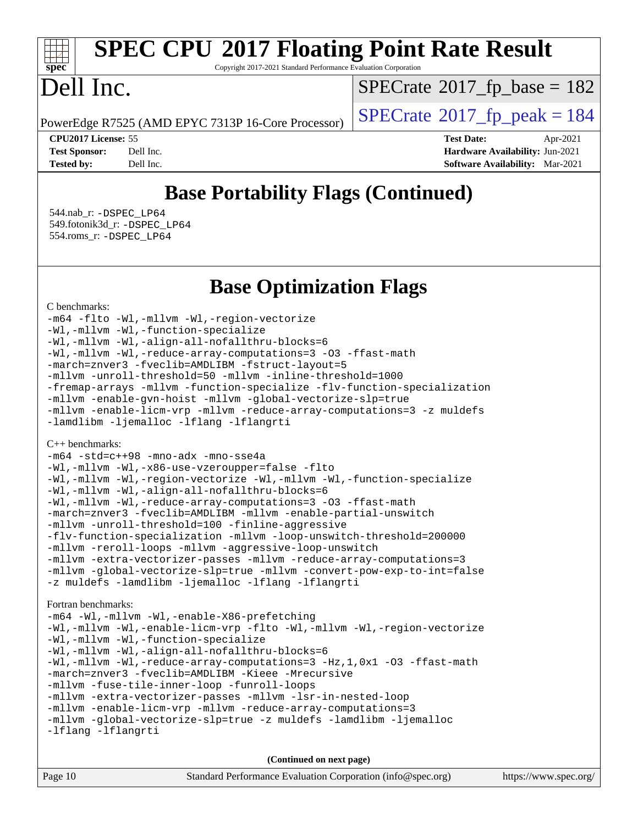## **[SPEC CPU](http://www.spec.org/auto/cpu2017/Docs/result-fields.html#SPECCPU2017FloatingPointRateResult)[2017 Floating Point Rate Result](http://www.spec.org/auto/cpu2017/Docs/result-fields.html#SPECCPU2017FloatingPointRateResult)**

Copyright 2017-2021 Standard Performance Evaluation Corporation

### Dell Inc.

 $SPECTate$ <sup>®</sup>[2017\\_fp\\_base =](http://www.spec.org/auto/cpu2017/Docs/result-fields.html#SPECrate2017fpbase) 182

PowerEdge R7525 (AMD EPYC 7313P 16-Core Processor)  $\left|$  [SPECrate](http://www.spec.org/auto/cpu2017/Docs/result-fields.html#SPECrate2017fppeak)®[2017\\_fp\\_peak = 1](http://www.spec.org/auto/cpu2017/Docs/result-fields.html#SPECrate2017fppeak)84

**[CPU2017 License:](http://www.spec.org/auto/cpu2017/Docs/result-fields.html#CPU2017License)** 55 **[Test Date:](http://www.spec.org/auto/cpu2017/Docs/result-fields.html#TestDate)** Apr-2021 **[Test Sponsor:](http://www.spec.org/auto/cpu2017/Docs/result-fields.html#TestSponsor)** Dell Inc. **[Hardware Availability:](http://www.spec.org/auto/cpu2017/Docs/result-fields.html#HardwareAvailability)** Jun-2021 **[Tested by:](http://www.spec.org/auto/cpu2017/Docs/result-fields.html#Testedby)** Dell Inc. **[Software Availability:](http://www.spec.org/auto/cpu2017/Docs/result-fields.html#SoftwareAvailability)** Mar-2021

### **[Base Portability Flags \(Continued\)](http://www.spec.org/auto/cpu2017/Docs/result-fields.html#BasePortabilityFlags)**

 544.nab\_r: [-DSPEC\\_LP64](http://www.spec.org/cpu2017/results/res2021q3/cpu2017-20210510-26282.flags.html#suite_baseEXTRA_PORTABILITY544_nab_r_DSPEC_LP64) 549.fotonik3d\_r: [-DSPEC\\_LP64](http://www.spec.org/cpu2017/results/res2021q3/cpu2017-20210510-26282.flags.html#suite_baseEXTRA_PORTABILITY549_fotonik3d_r_DSPEC_LP64) 554.roms\_r: [-DSPEC\\_LP64](http://www.spec.org/cpu2017/results/res2021q3/cpu2017-20210510-26282.flags.html#suite_baseEXTRA_PORTABILITY554_roms_r_DSPEC_LP64)

**[Base Optimization Flags](http://www.spec.org/auto/cpu2017/Docs/result-fields.html#BaseOptimizationFlags)**

#### [C benchmarks](http://www.spec.org/auto/cpu2017/Docs/result-fields.html#Cbenchmarks):

[-m64](http://www.spec.org/cpu2017/results/res2021q3/cpu2017-20210510-26282.flags.html#user_CCbase_F-m64) [-flto](http://www.spec.org/cpu2017/results/res2021q3/cpu2017-20210510-26282.flags.html#user_CCbase_aocc-flto) [-Wl,-mllvm -Wl,-region-vectorize](http://www.spec.org/cpu2017/results/res2021q3/cpu2017-20210510-26282.flags.html#user_CCbase_F-region-vectorize_fb6c6b5aa293c88efc6c7c2b52b20755e943585b1fe8658c35afef78727fff56e1a56891413c30e36b8e2a6f9a71126986319243e80eb6110b78b288f533c52b) [-Wl,-mllvm -Wl,-function-specialize](http://www.spec.org/cpu2017/results/res2021q3/cpu2017-20210510-26282.flags.html#user_CCbase_F-function-specialize_7e7e661e57922243ee67c9a1251cb8910e607325179a0ce7f2884e09a6f5d4a5ef0ae4f37e8a2a11c95fc48e931f06dc2b6016f14b511fcb441e048bef1b065a) [-Wl,-mllvm -Wl,-align-all-nofallthru-blocks=6](http://www.spec.org/cpu2017/results/res2021q3/cpu2017-20210510-26282.flags.html#user_CCbase_F-align-all-nofallthru-blocks) [-Wl,-mllvm -Wl,-reduce-array-computations=3](http://www.spec.org/cpu2017/results/res2021q3/cpu2017-20210510-26282.flags.html#user_CCbase_F-reduce-array-computations_b882aefe7a5dda4e33149f6299762b9a720dace3e498e13756f4c04e5a19edf5315c1f3993de2e61ec41e8c206231f84e05da7040e1bb5d69ba27d10a12507e4) [-O3](http://www.spec.org/cpu2017/results/res2021q3/cpu2017-20210510-26282.flags.html#user_CCbase_F-O3) [-ffast-math](http://www.spec.org/cpu2017/results/res2021q3/cpu2017-20210510-26282.flags.html#user_CCbase_aocc-ffast-math) [-march=znver3](http://www.spec.org/cpu2017/results/res2021q3/cpu2017-20210510-26282.flags.html#user_CCbase_aocc-march) [-fveclib=AMDLIBM](http://www.spec.org/cpu2017/results/res2021q3/cpu2017-20210510-26282.flags.html#user_CCbase_F-fveclib) [-fstruct-layout=5](http://www.spec.org/cpu2017/results/res2021q3/cpu2017-20210510-26282.flags.html#user_CCbase_F-struct-layout) [-mllvm -unroll-threshold=50](http://www.spec.org/cpu2017/results/res2021q3/cpu2017-20210510-26282.flags.html#user_CCbase_F-unroll-threshold_458874500b2c105d6d5cb4d7a611c40e2b16e9e3d26b355fea72d644c3673b4de4b3932662f0ed3dbec75c491a13da2d2ca81180bd779dc531083ef1e1e549dc) [-mllvm -inline-threshold=1000](http://www.spec.org/cpu2017/results/res2021q3/cpu2017-20210510-26282.flags.html#user_CCbase_F-inline-threshold_b7832241b0a6397e4ecdbaf0eb7defdc10f885c2a282fa3240fdc99844d543fda39cf8a4a9dccf68cf19b5438ac3b455264f478df15da0f4988afa40d8243bab) [-fremap-arrays](http://www.spec.org/cpu2017/results/res2021q3/cpu2017-20210510-26282.flags.html#user_CCbase_F-fremap-arrays) [-mllvm -function-specialize](http://www.spec.org/cpu2017/results/res2021q3/cpu2017-20210510-26282.flags.html#user_CCbase_F-function-specialize_233b3bdba86027f1b094368157e481c5bc59f40286dc25bfadc1858dcd5745c24fd30d5f188710db7fea399bcc9f44a80b3ce3aacc70a8870250c3ae5e1f35b8) [-flv-function-specialization](http://www.spec.org/cpu2017/results/res2021q3/cpu2017-20210510-26282.flags.html#user_CCbase_F-flv-function-specialization) [-mllvm -enable-gvn-hoist](http://www.spec.org/cpu2017/results/res2021q3/cpu2017-20210510-26282.flags.html#user_CCbase_F-enable-gvn-hoist_e5856354646dd6ca1333a0ad99b817e4cf8932b91b82809fd8fd47ceff7b22a89eba5c98fd3e3fa5200368fd772cec3dd56abc3c8f7b655a71b9f9848dddedd5) [-mllvm -global-vectorize-slp=true](http://www.spec.org/cpu2017/results/res2021q3/cpu2017-20210510-26282.flags.html#user_CCbase_F-global-vectorize-slp_f701c289ed3fc79483844cad3672606d268e3123d2651e764a36e57810b634b30ff7af25c43ce4288d0e4c1cc47ba156fce6ed971bc0d0e53c4c557f353d3dec) [-mllvm -enable-licm-vrp](http://www.spec.org/cpu2017/results/res2021q3/cpu2017-20210510-26282.flags.html#user_CCbase_F-enable-licm-vrp_82fd83574dee81d8c8043a1355024a53ba7c23d449242d72368fd778ae4cd8625fb6c8e473e88c632367ccc13b0c321b9a13b8db897fcfc1592cf0205fd356b5) [-mllvm -reduce-array-computations=3](http://www.spec.org/cpu2017/results/res2021q3/cpu2017-20210510-26282.flags.html#user_CCbase_F-reduce-array-computations) [-z muldefs](http://www.spec.org/cpu2017/results/res2021q3/cpu2017-20210510-26282.flags.html#user_CCbase_aocc-muldefs) [-lamdlibm](http://www.spec.org/cpu2017/results/res2021q3/cpu2017-20210510-26282.flags.html#user_CCbase_F-lamdlibm) [-ljemalloc](http://www.spec.org/cpu2017/results/res2021q3/cpu2017-20210510-26282.flags.html#user_CCbase_jemalloc-lib) [-lflang](http://www.spec.org/cpu2017/results/res2021q3/cpu2017-20210510-26282.flags.html#user_CCbase_F-lflang) [-lflangrti](http://www.spec.org/cpu2017/results/res2021q3/cpu2017-20210510-26282.flags.html#user_CCbase_F-lflangrti)

#### [C++ benchmarks:](http://www.spec.org/auto/cpu2017/Docs/result-fields.html#CXXbenchmarks)

```
-m64 -std=c++98 -mno-adx -mno-sse4a
-Wl,-mllvm -Wl,-x86-use-vzeroupper=false -flto
-Wl,-mllvm -Wl,-region-vectorize -Wl,-mllvm -Wl,-function-specialize
-Wl,-mllvm -Wl,-align-all-nofallthru-blocks=6
-Wl,-mllvm -Wl,-reduce-array-computations=3 -O3 -ffast-math
-march=znver3 -fveclib=AMDLIBM -mllvm -enable-partial-unswitch
-mllvm -unroll-threshold=100 -finline-aggressive
-flv-function-specialization -mllvm -loop-unswitch-threshold=200000
-mllvm -reroll-loops -mllvm -aggressive-loop-unswitch
-mllvm -extra-vectorizer-passes -mllvm -reduce-array-computations=3
-mllvm -global-vectorize-slp=true -mllvm -convert-pow-exp-to-int=false
-z muldefs -lamdlibm -ljemalloc -lflang -lflangrti
```
[Fortran benchmarks](http://www.spec.org/auto/cpu2017/Docs/result-fields.html#Fortranbenchmarks):

```
-m64 -Wl,-mllvm -Wl,-enable-X86-prefetching
-Wl,-mllvm -Wl,-enable-licm-vrp -flto -Wl,-mllvm -Wl,-region-vectorize
-Wl,-mllvm -Wl,-function-specialize
-Wl,-mllvm -Wl,-align-all-nofallthru-blocks=6
-Wl,-mllvm -Wl,-reduce-array-computations=3 -Hz,1,0x1 -O3 -ffast-math
-march=znver3 -fveclib=AMDLIBM -Kieee -Mrecursive
-mllvm -fuse-tile-inner-loop -funroll-loops
-mllvm -extra-vectorizer-passes -mllvm -lsr-in-nested-loop
-mllvm -enable-licm-vrp -mllvm -reduce-array-computations=3
-mllvm -global-vectorize-slp=true -z muldefs -lamdlibm -ljemalloc
-lflang -lflangrti
```

| Page 10<br>Standard Performance Evaluation Corporation (info@spec.org)<br>https://www.spec.org/ |
|-------------------------------------------------------------------------------------------------|
|-------------------------------------------------------------------------------------------------|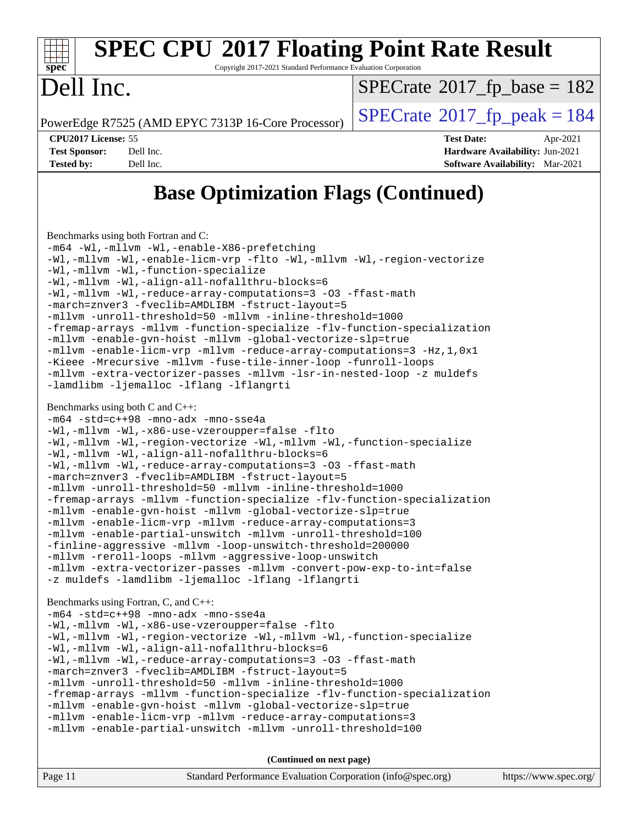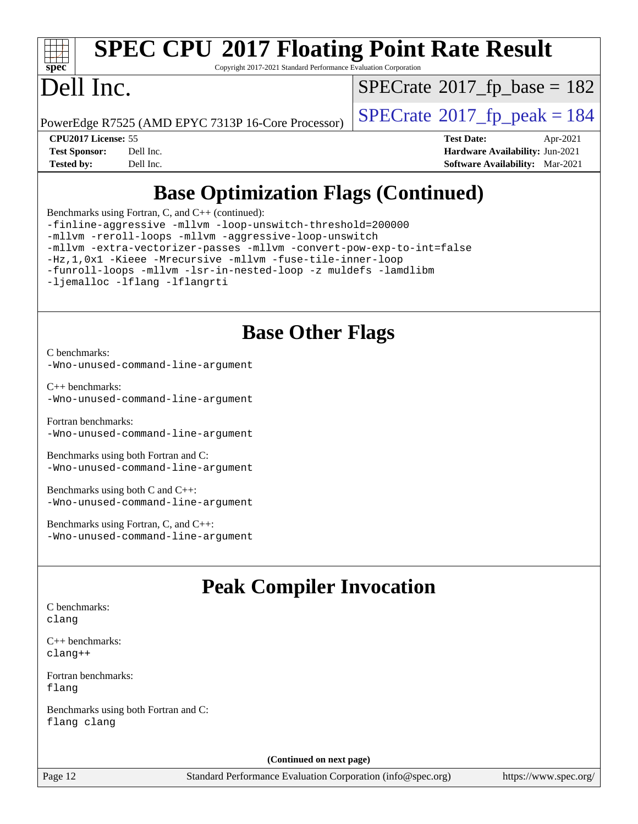

### **[SPEC CPU](http://www.spec.org/auto/cpu2017/Docs/result-fields.html#SPECCPU2017FloatingPointRateResult)[2017 Floating Point Rate Result](http://www.spec.org/auto/cpu2017/Docs/result-fields.html#SPECCPU2017FloatingPointRateResult)**

Copyright 2017-2021 Standard Performance Evaluation Corporation

### Dell Inc.

 $SPECrate$ <sup>®</sup>[2017\\_fp\\_base =](http://www.spec.org/auto/cpu2017/Docs/result-fields.html#SPECrate2017fpbase) 182

PowerEdge R7525 (AMD EPYC 7313P 16-Core Processor)  $\vert$  [SPECrate](http://www.spec.org/auto/cpu2017/Docs/result-fields.html#SPECrate2017fppeak)®[2017\\_fp\\_peak = 1](http://www.spec.org/auto/cpu2017/Docs/result-fields.html#SPECrate2017fppeak)84

**[CPU2017 License:](http://www.spec.org/auto/cpu2017/Docs/result-fields.html#CPU2017License)** 55 **[Test Date:](http://www.spec.org/auto/cpu2017/Docs/result-fields.html#TestDate)** Apr-2021 **[Test Sponsor:](http://www.spec.org/auto/cpu2017/Docs/result-fields.html#TestSponsor)** Dell Inc. **[Hardware Availability:](http://www.spec.org/auto/cpu2017/Docs/result-fields.html#HardwareAvailability)** Jun-2021 **[Tested by:](http://www.spec.org/auto/cpu2017/Docs/result-fields.html#Testedby)** Dell Inc. **[Software Availability:](http://www.spec.org/auto/cpu2017/Docs/result-fields.html#SoftwareAvailability)** Mar-2021

### **[Base Optimization Flags \(Continued\)](http://www.spec.org/auto/cpu2017/Docs/result-fields.html#BaseOptimizationFlags)**

[Benchmarks using Fortran, C, and C++](http://www.spec.org/auto/cpu2017/Docs/result-fields.html#BenchmarksusingFortranCandCXX) (continued):

[-finline-aggressive](http://www.spec.org/cpu2017/results/res2021q3/cpu2017-20210510-26282.flags.html#user_CC_CXX_FCbase_F-finline-aggressive) [-mllvm -loop-unswitch-threshold=200000](http://www.spec.org/cpu2017/results/res2021q3/cpu2017-20210510-26282.flags.html#user_CC_CXX_FCbase_F-loop-unswitch-threshold_f9a82ae3270e55b5fbf79d0d96ee93606b73edbbe527d20b18b7bff1a3a146ad50cfc7454c5297978340ae9213029016a7d16221274d672d3f7f42ed25274e1d) [-mllvm -reroll-loops](http://www.spec.org/cpu2017/results/res2021q3/cpu2017-20210510-26282.flags.html#user_CC_CXX_FCbase_F-reroll-loops) [-mllvm -aggressive-loop-unswitch](http://www.spec.org/cpu2017/results/res2021q3/cpu2017-20210510-26282.flags.html#user_CC_CXX_FCbase_F-aggressive-loop-unswitch_abd8177005d493f9a81f88ae32814acdc0422950e54bc53b0605c538e2e7549eb43d48c826089056b98aa2f0c142dc7ed1401fa1c97db9286a8c3ff748437b59) [-mllvm -extra-vectorizer-passes](http://www.spec.org/cpu2017/results/res2021q3/cpu2017-20210510-26282.flags.html#user_CC_CXX_FCbase_F-extra-vectorizer-passes_4bb9f90681e045f5ce38050c5c48e52c5a95ed819cbc44e12f6b389a91a38f1bfb7d9f51b06906bf2bd7ccd881019f6383c418982c71e3a142c10a060056d555) [-mllvm -convert-pow-exp-to-int=false](http://www.spec.org/cpu2017/results/res2021q3/cpu2017-20210510-26282.flags.html#user_CC_CXX_FCbase_F-convert-pow-exp-to-int_48075d7f300181d7350b7c152e089ba974e4acf53c583458eae87b0ecd6f9aa5a8546e2797aca77a784d497b972647cfd65b81c02996ee1106af5ba1043433c1) [-Hz,1,0x1](http://www.spec.org/cpu2017/results/res2021q3/cpu2017-20210510-26282.flags.html#user_CC_CXX_FCbase_F-save-array-metadata) [-Kieee](http://www.spec.org/cpu2017/results/res2021q3/cpu2017-20210510-26282.flags.html#user_CC_CXX_FCbase_F-kieee) [-Mrecursive](http://www.spec.org/cpu2017/results/res2021q3/cpu2017-20210510-26282.flags.html#user_CC_CXX_FCbase_F-mrecursive) [-mllvm -fuse-tile-inner-loop](http://www.spec.org/cpu2017/results/res2021q3/cpu2017-20210510-26282.flags.html#user_CC_CXX_FCbase_F-fuse-tile-inner-loop_a96ec74f3ab7113ca948afab2f7df720fdaa7c20bd316986c0fe40ef5f82f2613ee26bde25c6cf421f527cd549c2b0b12b7e2cdf22e7a5a52600673d8851f1df) [-funroll-loops](http://www.spec.org/cpu2017/results/res2021q3/cpu2017-20210510-26282.flags.html#user_CC_CXX_FCbase_aocc-unroll-loops) [-mllvm -lsr-in-nested-loop](http://www.spec.org/cpu2017/results/res2021q3/cpu2017-20210510-26282.flags.html#user_CC_CXX_FCbase_F-lsr-in-nested-loop_73f878522b3ccb742989d8e6de767863b372c2128b38f859376ee3fb883bc58dcc0955f53f856eb534bcc3be9d53927141e78ef6b7f1398bb0518a7b833043eb) [-z muldefs](http://www.spec.org/cpu2017/results/res2021q3/cpu2017-20210510-26282.flags.html#user_CC_CXX_FCbase_aocc-muldefs) [-lamdlibm](http://www.spec.org/cpu2017/results/res2021q3/cpu2017-20210510-26282.flags.html#user_CC_CXX_FCbase_F-lamdlibm) [-ljemalloc](http://www.spec.org/cpu2017/results/res2021q3/cpu2017-20210510-26282.flags.html#user_CC_CXX_FCbase_jemalloc-lib) [-lflang](http://www.spec.org/cpu2017/results/res2021q3/cpu2017-20210510-26282.flags.html#user_CC_CXX_FCbase_F-lflang) [-lflangrti](http://www.spec.org/cpu2017/results/res2021q3/cpu2017-20210510-26282.flags.html#user_CC_CXX_FCbase_F-lflangrti)

### **[Base Other Flags](http://www.spec.org/auto/cpu2017/Docs/result-fields.html#BaseOtherFlags)**

[C benchmarks](http://www.spec.org/auto/cpu2017/Docs/result-fields.html#Cbenchmarks): [-Wno-unused-command-line-argument](http://www.spec.org/cpu2017/results/res2021q3/cpu2017-20210510-26282.flags.html#user_CCbase_F-Wno-unused-command-line-argument)

[C++ benchmarks:](http://www.spec.org/auto/cpu2017/Docs/result-fields.html#CXXbenchmarks) [-Wno-unused-command-line-argument](http://www.spec.org/cpu2017/results/res2021q3/cpu2017-20210510-26282.flags.html#user_CXXbase_F-Wno-unused-command-line-argument)

[Fortran benchmarks](http://www.spec.org/auto/cpu2017/Docs/result-fields.html#Fortranbenchmarks): [-Wno-unused-command-line-argument](http://www.spec.org/cpu2017/results/res2021q3/cpu2017-20210510-26282.flags.html#user_FCbase_F-Wno-unused-command-line-argument)

[Benchmarks using both Fortran and C](http://www.spec.org/auto/cpu2017/Docs/result-fields.html#BenchmarksusingbothFortranandC): [-Wno-unused-command-line-argument](http://www.spec.org/cpu2017/results/res2021q3/cpu2017-20210510-26282.flags.html#user_CC_FCbase_F-Wno-unused-command-line-argument)

[Benchmarks using both C and C++](http://www.spec.org/auto/cpu2017/Docs/result-fields.html#BenchmarksusingbothCandCXX): [-Wno-unused-command-line-argument](http://www.spec.org/cpu2017/results/res2021q3/cpu2017-20210510-26282.flags.html#user_CC_CXXbase_F-Wno-unused-command-line-argument)

[Benchmarks using Fortran, C, and C++:](http://www.spec.org/auto/cpu2017/Docs/result-fields.html#BenchmarksusingFortranCandCXX) [-Wno-unused-command-line-argument](http://www.spec.org/cpu2017/results/res2021q3/cpu2017-20210510-26282.flags.html#user_CC_CXX_FCbase_F-Wno-unused-command-line-argument)

### **[Peak Compiler Invocation](http://www.spec.org/auto/cpu2017/Docs/result-fields.html#PeakCompilerInvocation)**

[C benchmarks](http://www.spec.org/auto/cpu2017/Docs/result-fields.html#Cbenchmarks): [clang](http://www.spec.org/cpu2017/results/res2021q3/cpu2017-20210510-26282.flags.html#user_CCpeak_clang-c)

[C++ benchmarks:](http://www.spec.org/auto/cpu2017/Docs/result-fields.html#CXXbenchmarks) [clang++](http://www.spec.org/cpu2017/results/res2021q3/cpu2017-20210510-26282.flags.html#user_CXXpeak_clang-cpp)

[Fortran benchmarks](http://www.spec.org/auto/cpu2017/Docs/result-fields.html#Fortranbenchmarks): [flang](http://www.spec.org/cpu2017/results/res2021q3/cpu2017-20210510-26282.flags.html#user_FCpeak_flang)

[Benchmarks using both Fortran and C](http://www.spec.org/auto/cpu2017/Docs/result-fields.html#BenchmarksusingbothFortranandC): [flang](http://www.spec.org/cpu2017/results/res2021q3/cpu2017-20210510-26282.flags.html#user_CC_FCpeak_flang) [clang](http://www.spec.org/cpu2017/results/res2021q3/cpu2017-20210510-26282.flags.html#user_CC_FCpeak_clang-c)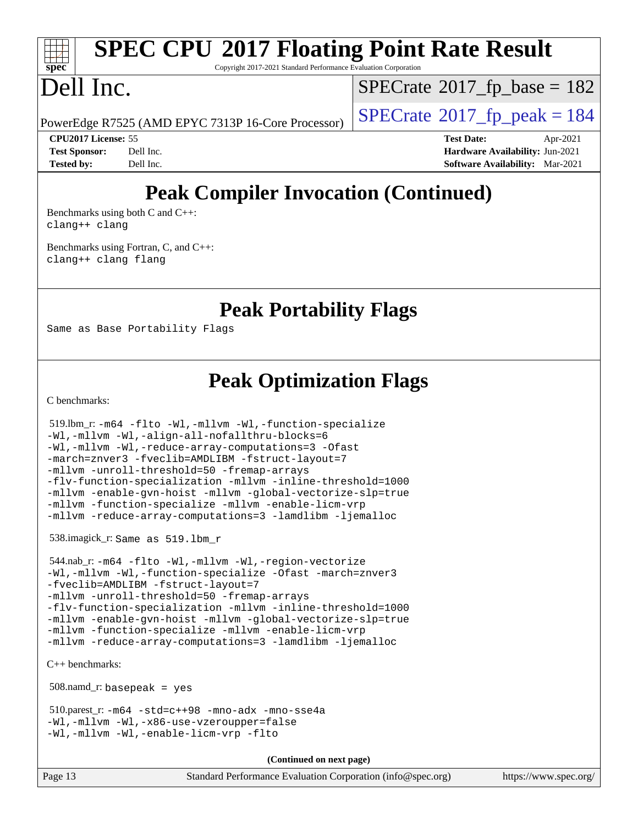## **[SPEC CPU](http://www.spec.org/auto/cpu2017/Docs/result-fields.html#SPECCPU2017FloatingPointRateResult)[2017 Floating Point Rate Result](http://www.spec.org/auto/cpu2017/Docs/result-fields.html#SPECCPU2017FloatingPointRateResult)**

Copyright 2017-2021 Standard Performance Evaluation Corporation

### Dell Inc.

 $SPECTate$ <sup>®</sup>[2017\\_fp\\_base =](http://www.spec.org/auto/cpu2017/Docs/result-fields.html#SPECrate2017fpbase) 182

PowerEdge R7525 (AMD EPYC 7313P 16-Core Processor)  $\vert$  [SPECrate](http://www.spec.org/auto/cpu2017/Docs/result-fields.html#SPECrate2017fppeak)®[2017\\_fp\\_peak = 1](http://www.spec.org/auto/cpu2017/Docs/result-fields.html#SPECrate2017fppeak)84

**[CPU2017 License:](http://www.spec.org/auto/cpu2017/Docs/result-fields.html#CPU2017License)** 55 **[Test Date:](http://www.spec.org/auto/cpu2017/Docs/result-fields.html#TestDate)** Apr-2021 **[Test Sponsor:](http://www.spec.org/auto/cpu2017/Docs/result-fields.html#TestSponsor)** Dell Inc. **[Hardware Availability:](http://www.spec.org/auto/cpu2017/Docs/result-fields.html#HardwareAvailability)** Jun-2021 **[Tested by:](http://www.spec.org/auto/cpu2017/Docs/result-fields.html#Testedby)** Dell Inc. **[Software Availability:](http://www.spec.org/auto/cpu2017/Docs/result-fields.html#SoftwareAvailability)** Mar-2021

### **[Peak Compiler Invocation \(Continued\)](http://www.spec.org/auto/cpu2017/Docs/result-fields.html#PeakCompilerInvocation)**

[Benchmarks using both C and C++](http://www.spec.org/auto/cpu2017/Docs/result-fields.html#BenchmarksusingbothCandCXX): [clang++](http://www.spec.org/cpu2017/results/res2021q3/cpu2017-20210510-26282.flags.html#user_CC_CXXpeak_clang-cpp) [clang](http://www.spec.org/cpu2017/results/res2021q3/cpu2017-20210510-26282.flags.html#user_CC_CXXpeak_clang-c)

[Benchmarks using Fortran, C, and C++:](http://www.spec.org/auto/cpu2017/Docs/result-fields.html#BenchmarksusingFortranCandCXX) [clang++](http://www.spec.org/cpu2017/results/res2021q3/cpu2017-20210510-26282.flags.html#user_CC_CXX_FCpeak_clang-cpp) [clang](http://www.spec.org/cpu2017/results/res2021q3/cpu2017-20210510-26282.flags.html#user_CC_CXX_FCpeak_clang-c) [flang](http://www.spec.org/cpu2017/results/res2021q3/cpu2017-20210510-26282.flags.html#user_CC_CXX_FCpeak_flang)

### **[Peak Portability Flags](http://www.spec.org/auto/cpu2017/Docs/result-fields.html#PeakPortabilityFlags)**

Same as Base Portability Flags

### **[Peak Optimization Flags](http://www.spec.org/auto/cpu2017/Docs/result-fields.html#PeakOptimizationFlags)**

[C benchmarks](http://www.spec.org/auto/cpu2017/Docs/result-fields.html#Cbenchmarks):

 519.lbm\_r: [-m64](http://www.spec.org/cpu2017/results/res2021q3/cpu2017-20210510-26282.flags.html#user_peakCCLD519_lbm_r_F-m64) [-flto](http://www.spec.org/cpu2017/results/res2021q3/cpu2017-20210510-26282.flags.html#user_peakCOPTIMIZEEXTRA_LDFLAGS519_lbm_r_aocc-flto) [-Wl,-mllvm -Wl,-function-specialize](http://www.spec.org/cpu2017/results/res2021q3/cpu2017-20210510-26282.flags.html#user_peakEXTRA_LDFLAGS519_lbm_r_F-function-specialize_7e7e661e57922243ee67c9a1251cb8910e607325179a0ce7f2884e09a6f5d4a5ef0ae4f37e8a2a11c95fc48e931f06dc2b6016f14b511fcb441e048bef1b065a) [-Wl,-mllvm -Wl,-align-all-nofallthru-blocks=6](http://www.spec.org/cpu2017/results/res2021q3/cpu2017-20210510-26282.flags.html#user_peakEXTRA_LDFLAGS519_lbm_r_F-align-all-nofallthru-blocks) [-Wl,-mllvm -Wl,-reduce-array-computations=3](http://www.spec.org/cpu2017/results/res2021q3/cpu2017-20210510-26282.flags.html#user_peakEXTRA_LDFLAGS519_lbm_r_F-reduce-array-computations_b882aefe7a5dda4e33149f6299762b9a720dace3e498e13756f4c04e5a19edf5315c1f3993de2e61ec41e8c206231f84e05da7040e1bb5d69ba27d10a12507e4) [-Ofast](http://www.spec.org/cpu2017/results/res2021q3/cpu2017-20210510-26282.flags.html#user_peakCOPTIMIZE519_lbm_r_aocc-Ofast) [-march=znver3](http://www.spec.org/cpu2017/results/res2021q3/cpu2017-20210510-26282.flags.html#user_peakCOPTIMIZE519_lbm_r_aocc-march) [-fveclib=AMDLIBM](http://www.spec.org/cpu2017/results/res2021q3/cpu2017-20210510-26282.flags.html#user_peakCOPTIMIZE519_lbm_r_F-fveclib) [-fstruct-layout=7](http://www.spec.org/cpu2017/results/res2021q3/cpu2017-20210510-26282.flags.html#user_peakCOPTIMIZE519_lbm_r_F-struct-layout_bb5ca1df7367e944cc4ca61612cc03d98834394c255cd0c6192b74953ffa1609f9fc38f5f1e72e3b07e2e558865a0ecfad5df250ac72d4e5924673196dbcdf1c) [-mllvm -unroll-threshold=50](http://www.spec.org/cpu2017/results/res2021q3/cpu2017-20210510-26282.flags.html#user_peakCOPTIMIZE519_lbm_r_F-unroll-threshold_458874500b2c105d6d5cb4d7a611c40e2b16e9e3d26b355fea72d644c3673b4de4b3932662f0ed3dbec75c491a13da2d2ca81180bd779dc531083ef1e1e549dc) [-fremap-arrays](http://www.spec.org/cpu2017/results/res2021q3/cpu2017-20210510-26282.flags.html#user_peakCOPTIMIZE519_lbm_r_F-fremap-arrays) [-flv-function-specialization](http://www.spec.org/cpu2017/results/res2021q3/cpu2017-20210510-26282.flags.html#user_peakCOPTIMIZE519_lbm_r_F-flv-function-specialization) [-mllvm -inline-threshold=1000](http://www.spec.org/cpu2017/results/res2021q3/cpu2017-20210510-26282.flags.html#user_peakCOPTIMIZE519_lbm_r_F-inline-threshold_b7832241b0a6397e4ecdbaf0eb7defdc10f885c2a282fa3240fdc99844d543fda39cf8a4a9dccf68cf19b5438ac3b455264f478df15da0f4988afa40d8243bab) [-mllvm -enable-gvn-hoist](http://www.spec.org/cpu2017/results/res2021q3/cpu2017-20210510-26282.flags.html#user_peakCOPTIMIZE519_lbm_r_F-enable-gvn-hoist_e5856354646dd6ca1333a0ad99b817e4cf8932b91b82809fd8fd47ceff7b22a89eba5c98fd3e3fa5200368fd772cec3dd56abc3c8f7b655a71b9f9848dddedd5) [-mllvm -global-vectorize-slp=true](http://www.spec.org/cpu2017/results/res2021q3/cpu2017-20210510-26282.flags.html#user_peakCOPTIMIZE519_lbm_r_F-global-vectorize-slp_f701c289ed3fc79483844cad3672606d268e3123d2651e764a36e57810b634b30ff7af25c43ce4288d0e4c1cc47ba156fce6ed971bc0d0e53c4c557f353d3dec) [-mllvm -function-specialize](http://www.spec.org/cpu2017/results/res2021q3/cpu2017-20210510-26282.flags.html#user_peakCOPTIMIZE519_lbm_r_F-function-specialize_233b3bdba86027f1b094368157e481c5bc59f40286dc25bfadc1858dcd5745c24fd30d5f188710db7fea399bcc9f44a80b3ce3aacc70a8870250c3ae5e1f35b8) [-mllvm -enable-licm-vrp](http://www.spec.org/cpu2017/results/res2021q3/cpu2017-20210510-26282.flags.html#user_peakCOPTIMIZE519_lbm_r_F-enable-licm-vrp_82fd83574dee81d8c8043a1355024a53ba7c23d449242d72368fd778ae4cd8625fb6c8e473e88c632367ccc13b0c321b9a13b8db897fcfc1592cf0205fd356b5) [-mllvm -reduce-array-computations=3](http://www.spec.org/cpu2017/results/res2021q3/cpu2017-20210510-26282.flags.html#user_peakCOPTIMIZE519_lbm_r_F-reduce-array-computations) [-lamdlibm](http://www.spec.org/cpu2017/results/res2021q3/cpu2017-20210510-26282.flags.html#user_peakEXTRA_LIBS519_lbm_r_F-lamdlibm) [-ljemalloc](http://www.spec.org/cpu2017/results/res2021q3/cpu2017-20210510-26282.flags.html#user_peakEXTRA_LIBS519_lbm_r_jemalloc-lib)

538.imagick\_r: Same as 519.lbm\_r

```
 544.nab_r: -m64 -flto -Wl,-mllvm -Wl,-region-vectorize
-Wl,-mllvm -Wl,-function-specialize -Ofast -march=znver3
-fveclib=AMDLIBM -fstruct-layout=7
-mllvm -unroll-threshold=50 -fremap-arrays
-flv-function-specialization -mllvm -inline-threshold=1000
-mllvm -enable-gvn-hoist -mllvm -global-vectorize-slp=true
-mllvm -function-specialize -mllvm -enable-licm-vrp
-mllvm -reduce-array-computations=3 -lamdlibm -ljemalloc
```
[C++ benchmarks:](http://www.spec.org/auto/cpu2017/Docs/result-fields.html#CXXbenchmarks)

508.namd\_r: basepeak = yes

```
 510.parest_r: -m64 -std=c++98 -mno-adx -mno-sse4a
-Wl,-mllvm -Wl,-x86-use-vzeroupper=false
-Wl,-mllvm -Wl,-enable-licm-vrp -flto
```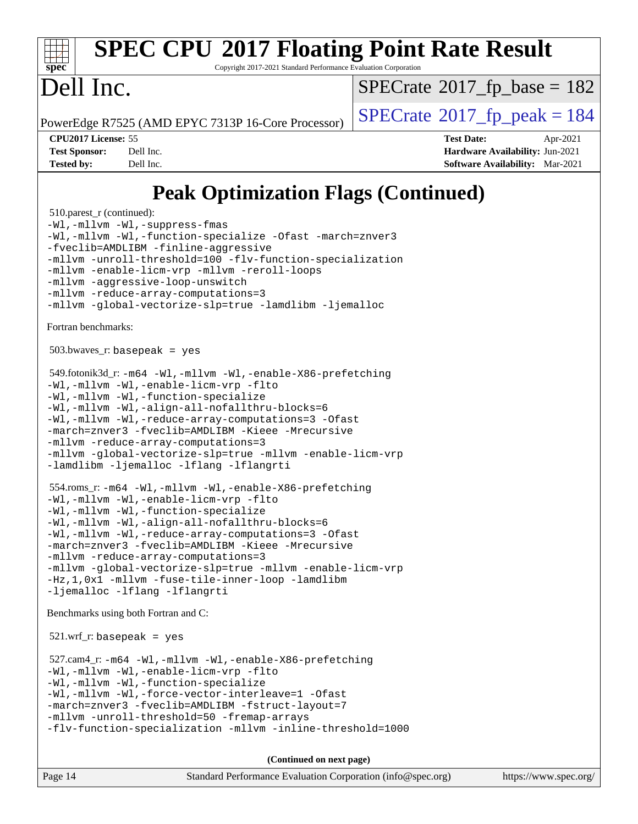

### **[SPEC CPU](http://www.spec.org/auto/cpu2017/Docs/result-fields.html#SPECCPU2017FloatingPointRateResult)[2017 Floating Point Rate Result](http://www.spec.org/auto/cpu2017/Docs/result-fields.html#SPECCPU2017FloatingPointRateResult)**

Copyright 2017-2021 Standard Performance Evaluation Corporation

### Dell Inc.

 $SPECTate$ <sup>®</sup>[2017\\_fp\\_base =](http://www.spec.org/auto/cpu2017/Docs/result-fields.html#SPECrate2017fpbase) 182

PowerEdge R7525 (AMD EPYC 7313P 16-Core Processor)  $\left|$  [SPECrate](http://www.spec.org/auto/cpu2017/Docs/result-fields.html#SPECrate2017fppeak)®[2017\\_fp\\_peak = 1](http://www.spec.org/auto/cpu2017/Docs/result-fields.html#SPECrate2017fppeak)84

**[CPU2017 License:](http://www.spec.org/auto/cpu2017/Docs/result-fields.html#CPU2017License)** 55 **[Test Date:](http://www.spec.org/auto/cpu2017/Docs/result-fields.html#TestDate)** Apr-2021 **[Test Sponsor:](http://www.spec.org/auto/cpu2017/Docs/result-fields.html#TestSponsor)** Dell Inc. **[Hardware Availability:](http://www.spec.org/auto/cpu2017/Docs/result-fields.html#HardwareAvailability)** Jun-2021 **[Tested by:](http://www.spec.org/auto/cpu2017/Docs/result-fields.html#Testedby)** Dell Inc. **[Software Availability:](http://www.spec.org/auto/cpu2017/Docs/result-fields.html#SoftwareAvailability)** Mar-2021

### **[Peak Optimization Flags \(Continued\)](http://www.spec.org/auto/cpu2017/Docs/result-fields.html#PeakOptimizationFlags)**

510.parest r (continued): [-Wl,-mllvm -Wl,-suppress-fmas](http://www.spec.org/cpu2017/results/res2021q3/cpu2017-20210510-26282.flags.html#user_peakEXTRA_LDFLAGS510_parest_r_F-suppress-fmas_f00f00630e4a059e8af9c161e9bbf420bcf19890a7f99d5933525e66aa4b0bb3ab2339d2b12d97d3a5f5d271e839fe9c109938e91fe06230fb53651590cfa1e8) [-Wl,-mllvm -Wl,-function-specialize](http://www.spec.org/cpu2017/results/res2021q3/cpu2017-20210510-26282.flags.html#user_peakEXTRA_LDFLAGS510_parest_r_F-function-specialize_7e7e661e57922243ee67c9a1251cb8910e607325179a0ce7f2884e09a6f5d4a5ef0ae4f37e8a2a11c95fc48e931f06dc2b6016f14b511fcb441e048bef1b065a) [-Ofast](http://www.spec.org/cpu2017/results/res2021q3/cpu2017-20210510-26282.flags.html#user_peakCXXOPTIMIZE510_parest_r_aocc-Ofast) [-march=znver3](http://www.spec.org/cpu2017/results/res2021q3/cpu2017-20210510-26282.flags.html#user_peakCXXOPTIMIZE510_parest_r_aocc-march) [-fveclib=AMDLIBM](http://www.spec.org/cpu2017/results/res2021q3/cpu2017-20210510-26282.flags.html#user_peakCXXOPTIMIZE510_parest_r_F-fveclib) [-finline-aggressive](http://www.spec.org/cpu2017/results/res2021q3/cpu2017-20210510-26282.flags.html#user_peakCXXOPTIMIZE510_parest_r_F-finline-aggressive) [-mllvm -unroll-threshold=100](http://www.spec.org/cpu2017/results/res2021q3/cpu2017-20210510-26282.flags.html#user_peakCXXOPTIMIZE510_parest_r_F-unroll-threshold) [-flv-function-specialization](http://www.spec.org/cpu2017/results/res2021q3/cpu2017-20210510-26282.flags.html#user_peakCXXOPTIMIZE510_parest_r_F-flv-function-specialization) [-mllvm -enable-licm-vrp](http://www.spec.org/cpu2017/results/res2021q3/cpu2017-20210510-26282.flags.html#user_peakCXXOPTIMIZE510_parest_r_F-enable-licm-vrp_82fd83574dee81d8c8043a1355024a53ba7c23d449242d72368fd778ae4cd8625fb6c8e473e88c632367ccc13b0c321b9a13b8db897fcfc1592cf0205fd356b5) [-mllvm -reroll-loops](http://www.spec.org/cpu2017/results/res2021q3/cpu2017-20210510-26282.flags.html#user_peakCXXOPTIMIZE510_parest_r_F-reroll-loops) [-mllvm -aggressive-loop-unswitch](http://www.spec.org/cpu2017/results/res2021q3/cpu2017-20210510-26282.flags.html#user_peakCXXOPTIMIZE510_parest_r_F-aggressive-loop-unswitch_abd8177005d493f9a81f88ae32814acdc0422950e54bc53b0605c538e2e7549eb43d48c826089056b98aa2f0c142dc7ed1401fa1c97db9286a8c3ff748437b59) [-mllvm -reduce-array-computations=3](http://www.spec.org/cpu2017/results/res2021q3/cpu2017-20210510-26282.flags.html#user_peakCXXOPTIMIZE510_parest_r_F-reduce-array-computations) [-mllvm -global-vectorize-slp=true](http://www.spec.org/cpu2017/results/res2021q3/cpu2017-20210510-26282.flags.html#user_peakCXXOPTIMIZE510_parest_r_F-global-vectorize-slp_f701c289ed3fc79483844cad3672606d268e3123d2651e764a36e57810b634b30ff7af25c43ce4288d0e4c1cc47ba156fce6ed971bc0d0e53c4c557f353d3dec) [-lamdlibm](http://www.spec.org/cpu2017/results/res2021q3/cpu2017-20210510-26282.flags.html#user_peakEXTRA_LIBS510_parest_r_F-lamdlibm) [-ljemalloc](http://www.spec.org/cpu2017/results/res2021q3/cpu2017-20210510-26282.flags.html#user_peakEXTRA_LIBS510_parest_r_jemalloc-lib) [Fortran benchmarks](http://www.spec.org/auto/cpu2017/Docs/result-fields.html#Fortranbenchmarks):  $503.bwaves$   $r:$  basepeak = yes 549.fotonik3d\_r: [-m64](http://www.spec.org/cpu2017/results/res2021q3/cpu2017-20210510-26282.flags.html#user_peakFCLD549_fotonik3d_r_F-m64) [-Wl,-mllvm -Wl,-enable-X86-prefetching](http://www.spec.org/cpu2017/results/res2021q3/cpu2017-20210510-26282.flags.html#user_peakLDFFLAGS549_fotonik3d_r_F-enable-X86-prefetching_362de7b2f7f327d498ff3502bcaa6d8937de40fbbc59a600e539433e6b2cb9ea5e30d4a00c3465ce74a160670b5fcaffd57d10fdc90b0d7ee2c6f387a6bf1aee) [-Wl,-mllvm -Wl,-enable-licm-vrp](http://www.spec.org/cpu2017/results/res2021q3/cpu2017-20210510-26282.flags.html#user_peakLDFFLAGS549_fotonik3d_r_F-enable-licm-vrp_65c4fc69039207ec88421e1591ba3bbf2ac715c2f390cac268ece6f40ae7757bd65f971ef38c9b70aedd2bf37e4037d3d64a7fe88db6aed78b6f244274772259) [-flto](http://www.spec.org/cpu2017/results/res2021q3/cpu2017-20210510-26282.flags.html#user_peakEXTRA_LDFLAGSFOPTIMIZE549_fotonik3d_r_aocc-flto) [-Wl,-mllvm -Wl,-function-specialize](http://www.spec.org/cpu2017/results/res2021q3/cpu2017-20210510-26282.flags.html#user_peakEXTRA_LDFLAGS549_fotonik3d_r_F-function-specialize_7e7e661e57922243ee67c9a1251cb8910e607325179a0ce7f2884e09a6f5d4a5ef0ae4f37e8a2a11c95fc48e931f06dc2b6016f14b511fcb441e048bef1b065a) [-Wl,-mllvm -Wl,-align-all-nofallthru-blocks=6](http://www.spec.org/cpu2017/results/res2021q3/cpu2017-20210510-26282.flags.html#user_peakEXTRA_LDFLAGS549_fotonik3d_r_F-align-all-nofallthru-blocks) [-Wl,-mllvm -Wl,-reduce-array-computations=3](http://www.spec.org/cpu2017/results/res2021q3/cpu2017-20210510-26282.flags.html#user_peakEXTRA_LDFLAGS549_fotonik3d_r_F-reduce-array-computations_b882aefe7a5dda4e33149f6299762b9a720dace3e498e13756f4c04e5a19edf5315c1f3993de2e61ec41e8c206231f84e05da7040e1bb5d69ba27d10a12507e4) [-Ofast](http://www.spec.org/cpu2017/results/res2021q3/cpu2017-20210510-26282.flags.html#user_peakFOPTIMIZE549_fotonik3d_r_aocc-Ofast) [-march=znver3](http://www.spec.org/cpu2017/results/res2021q3/cpu2017-20210510-26282.flags.html#user_peakFOPTIMIZE549_fotonik3d_r_aocc-march) [-fveclib=AMDLIBM](http://www.spec.org/cpu2017/results/res2021q3/cpu2017-20210510-26282.flags.html#user_peakFOPTIMIZE549_fotonik3d_r_F-fveclib) [-Kieee](http://www.spec.org/cpu2017/results/res2021q3/cpu2017-20210510-26282.flags.html#user_peakFOPTIMIZE549_fotonik3d_r_F-kieee) [-Mrecursive](http://www.spec.org/cpu2017/results/res2021q3/cpu2017-20210510-26282.flags.html#user_peakFOPTIMIZE549_fotonik3d_r_F-mrecursive) [-mllvm -reduce-array-computations=3](http://www.spec.org/cpu2017/results/res2021q3/cpu2017-20210510-26282.flags.html#user_peakFOPTIMIZE549_fotonik3d_r_F-reduce-array-computations) [-mllvm -global-vectorize-slp=true](http://www.spec.org/cpu2017/results/res2021q3/cpu2017-20210510-26282.flags.html#user_peakFOPTIMIZE549_fotonik3d_r_F-global-vectorize-slp_f701c289ed3fc79483844cad3672606d268e3123d2651e764a36e57810b634b30ff7af25c43ce4288d0e4c1cc47ba156fce6ed971bc0d0e53c4c557f353d3dec) [-mllvm -enable-licm-vrp](http://www.spec.org/cpu2017/results/res2021q3/cpu2017-20210510-26282.flags.html#user_peakFOPTIMIZE549_fotonik3d_r_F-enable-licm-vrp_82fd83574dee81d8c8043a1355024a53ba7c23d449242d72368fd778ae4cd8625fb6c8e473e88c632367ccc13b0c321b9a13b8db897fcfc1592cf0205fd356b5) [-lamdlibm](http://www.spec.org/cpu2017/results/res2021q3/cpu2017-20210510-26282.flags.html#user_peakEXTRA_LIBS549_fotonik3d_r_F-lamdlibm) [-ljemalloc](http://www.spec.org/cpu2017/results/res2021q3/cpu2017-20210510-26282.flags.html#user_peakEXTRA_LIBS549_fotonik3d_r_jemalloc-lib) [-lflang](http://www.spec.org/cpu2017/results/res2021q3/cpu2017-20210510-26282.flags.html#user_peakEXTRA_FLIBS549_fotonik3d_r_F-lflang) [-lflangrti](http://www.spec.org/cpu2017/results/res2021q3/cpu2017-20210510-26282.flags.html#user_peakEXTRA_FLIBS549_fotonik3d_r_F-lflangrti) 554.roms\_r: [-m64](http://www.spec.org/cpu2017/results/res2021q3/cpu2017-20210510-26282.flags.html#user_peakFCLD554_roms_r_F-m64) [-Wl,-mllvm -Wl,-enable-X86-prefetching](http://www.spec.org/cpu2017/results/res2021q3/cpu2017-20210510-26282.flags.html#user_peakLDFFLAGS554_roms_r_F-enable-X86-prefetching_362de7b2f7f327d498ff3502bcaa6d8937de40fbbc59a600e539433e6b2cb9ea5e30d4a00c3465ce74a160670b5fcaffd57d10fdc90b0d7ee2c6f387a6bf1aee) [-Wl,-mllvm -Wl,-enable-licm-vrp](http://www.spec.org/cpu2017/results/res2021q3/cpu2017-20210510-26282.flags.html#user_peakLDFFLAGS554_roms_r_F-enable-licm-vrp_65c4fc69039207ec88421e1591ba3bbf2ac715c2f390cac268ece6f40ae7757bd65f971ef38c9b70aedd2bf37e4037d3d64a7fe88db6aed78b6f244274772259) [-flto](http://www.spec.org/cpu2017/results/res2021q3/cpu2017-20210510-26282.flags.html#user_peakEXTRA_LDFLAGSFOPTIMIZE554_roms_r_aocc-flto) [-Wl,-mllvm -Wl,-function-specialize](http://www.spec.org/cpu2017/results/res2021q3/cpu2017-20210510-26282.flags.html#user_peakEXTRA_LDFLAGS554_roms_r_F-function-specialize_7e7e661e57922243ee67c9a1251cb8910e607325179a0ce7f2884e09a6f5d4a5ef0ae4f37e8a2a11c95fc48e931f06dc2b6016f14b511fcb441e048bef1b065a) [-Wl,-mllvm -Wl,-align-all-nofallthru-blocks=6](http://www.spec.org/cpu2017/results/res2021q3/cpu2017-20210510-26282.flags.html#user_peakEXTRA_LDFLAGS554_roms_r_F-align-all-nofallthru-blocks) [-Wl,-mllvm -Wl,-reduce-array-computations=3](http://www.spec.org/cpu2017/results/res2021q3/cpu2017-20210510-26282.flags.html#user_peakEXTRA_LDFLAGS554_roms_r_F-reduce-array-computations_b882aefe7a5dda4e33149f6299762b9a720dace3e498e13756f4c04e5a19edf5315c1f3993de2e61ec41e8c206231f84e05da7040e1bb5d69ba27d10a12507e4) [-Ofast](http://www.spec.org/cpu2017/results/res2021q3/cpu2017-20210510-26282.flags.html#user_peakFOPTIMIZE554_roms_r_aocc-Ofast) [-march=znver3](http://www.spec.org/cpu2017/results/res2021q3/cpu2017-20210510-26282.flags.html#user_peakFOPTIMIZE554_roms_r_aocc-march) [-fveclib=AMDLIBM](http://www.spec.org/cpu2017/results/res2021q3/cpu2017-20210510-26282.flags.html#user_peakFOPTIMIZE554_roms_r_F-fveclib) [-Kieee](http://www.spec.org/cpu2017/results/res2021q3/cpu2017-20210510-26282.flags.html#user_peakFOPTIMIZE554_roms_r_F-kieee) [-Mrecursive](http://www.spec.org/cpu2017/results/res2021q3/cpu2017-20210510-26282.flags.html#user_peakFOPTIMIZE554_roms_r_F-mrecursive) [-mllvm -reduce-array-computations=3](http://www.spec.org/cpu2017/results/res2021q3/cpu2017-20210510-26282.flags.html#user_peakFOPTIMIZE554_roms_r_F-reduce-array-computations) [-mllvm -global-vectorize-slp=true](http://www.spec.org/cpu2017/results/res2021q3/cpu2017-20210510-26282.flags.html#user_peakFOPTIMIZE554_roms_r_F-global-vectorize-slp_f701c289ed3fc79483844cad3672606d268e3123d2651e764a36e57810b634b30ff7af25c43ce4288d0e4c1cc47ba156fce6ed971bc0d0e53c4c557f353d3dec) [-mllvm -enable-licm-vrp](http://www.spec.org/cpu2017/results/res2021q3/cpu2017-20210510-26282.flags.html#user_peakFOPTIMIZE554_roms_r_F-enable-licm-vrp_82fd83574dee81d8c8043a1355024a53ba7c23d449242d72368fd778ae4cd8625fb6c8e473e88c632367ccc13b0c321b9a13b8db897fcfc1592cf0205fd356b5) [-Hz,1,0x1](http://www.spec.org/cpu2017/results/res2021q3/cpu2017-20210510-26282.flags.html#user_peakEXTRA_FFLAGS554_roms_r_F-save-array-metadata) [-mllvm -fuse-tile-inner-loop](http://www.spec.org/cpu2017/results/res2021q3/cpu2017-20210510-26282.flags.html#user_peakEXTRA_FFLAGS554_roms_r_F-fuse-tile-inner-loop_a96ec74f3ab7113ca948afab2f7df720fdaa7c20bd316986c0fe40ef5f82f2613ee26bde25c6cf421f527cd549c2b0b12b7e2cdf22e7a5a52600673d8851f1df) [-lamdlibm](http://www.spec.org/cpu2017/results/res2021q3/cpu2017-20210510-26282.flags.html#user_peakEXTRA_LIBS554_roms_r_F-lamdlibm) [-ljemalloc](http://www.spec.org/cpu2017/results/res2021q3/cpu2017-20210510-26282.flags.html#user_peakEXTRA_LIBS554_roms_r_jemalloc-lib) [-lflang](http://www.spec.org/cpu2017/results/res2021q3/cpu2017-20210510-26282.flags.html#user_peakEXTRA_FLIBS554_roms_r_F-lflang) [-lflangrti](http://www.spec.org/cpu2017/results/res2021q3/cpu2017-20210510-26282.flags.html#user_peakEXTRA_FLIBS554_roms_r_F-lflangrti) [Benchmarks using both Fortran and C](http://www.spec.org/auto/cpu2017/Docs/result-fields.html#BenchmarksusingbothFortranandC): 521.wrf\_r: basepeak = yes 527.cam4\_r: [-m64](http://www.spec.org/cpu2017/results/res2021q3/cpu2017-20210510-26282.flags.html#user_peakCCFCLD527_cam4_r_F-m64) [-Wl,-mllvm -Wl,-enable-X86-prefetching](http://www.spec.org/cpu2017/results/res2021q3/cpu2017-20210510-26282.flags.html#user_peakLDFFLAGS527_cam4_r_F-enable-X86-prefetching_362de7b2f7f327d498ff3502bcaa6d8937de40fbbc59a600e539433e6b2cb9ea5e30d4a00c3465ce74a160670b5fcaffd57d10fdc90b0d7ee2c6f387a6bf1aee) [-Wl,-mllvm -Wl,-enable-licm-vrp](http://www.spec.org/cpu2017/results/res2021q3/cpu2017-20210510-26282.flags.html#user_peakLDFFLAGS527_cam4_r_F-enable-licm-vrp_65c4fc69039207ec88421e1591ba3bbf2ac715c2f390cac268ece6f40ae7757bd65f971ef38c9b70aedd2bf37e4037d3d64a7fe88db6aed78b6f244274772259) [-flto](http://www.spec.org/cpu2017/results/res2021q3/cpu2017-20210510-26282.flags.html#user_peakCOPTIMIZEEXTRA_LDFLAGS527_cam4_r_aocc-flto) [-Wl,-mllvm -Wl,-function-specialize](http://www.spec.org/cpu2017/results/res2021q3/cpu2017-20210510-26282.flags.html#user_peakEXTRA_LDFLAGS527_cam4_r_F-function-specialize_7e7e661e57922243ee67c9a1251cb8910e607325179a0ce7f2884e09a6f5d4a5ef0ae4f37e8a2a11c95fc48e931f06dc2b6016f14b511fcb441e048bef1b065a) [-Wl,-mllvm -Wl,-force-vector-interleave=1](http://www.spec.org/cpu2017/results/res2021q3/cpu2017-20210510-26282.flags.html#user_peakEXTRA_LDFLAGS527_cam4_r_F-force-vector-interleave) [-Ofast](http://www.spec.org/cpu2017/results/res2021q3/cpu2017-20210510-26282.flags.html#user_peakCOPTIMIZE527_cam4_r_aocc-Ofast) [-march=znver3](http://www.spec.org/cpu2017/results/res2021q3/cpu2017-20210510-26282.flags.html#user_peakCOPTIMIZEFOPTIMIZE527_cam4_r_aocc-march) [-fveclib=AMDLIBM](http://www.spec.org/cpu2017/results/res2021q3/cpu2017-20210510-26282.flags.html#user_peakCOPTIMIZEFOPTIMIZE527_cam4_r_F-fveclib) [-fstruct-layout=7](http://www.spec.org/cpu2017/results/res2021q3/cpu2017-20210510-26282.flags.html#user_peakCOPTIMIZE527_cam4_r_F-struct-layout_bb5ca1df7367e944cc4ca61612cc03d98834394c255cd0c6192b74953ffa1609f9fc38f5f1e72e3b07e2e558865a0ecfad5df250ac72d4e5924673196dbcdf1c) [-mllvm -unroll-threshold=50](http://www.spec.org/cpu2017/results/res2021q3/cpu2017-20210510-26282.flags.html#user_peakCOPTIMIZE527_cam4_r_F-unroll-threshold_458874500b2c105d6d5cb4d7a611c40e2b16e9e3d26b355fea72d644c3673b4de4b3932662f0ed3dbec75c491a13da2d2ca81180bd779dc531083ef1e1e549dc) [-fremap-arrays](http://www.spec.org/cpu2017/results/res2021q3/cpu2017-20210510-26282.flags.html#user_peakCOPTIMIZE527_cam4_r_F-fremap-arrays) [-flv-function-specialization](http://www.spec.org/cpu2017/results/res2021q3/cpu2017-20210510-26282.flags.html#user_peakCOPTIMIZE527_cam4_r_F-flv-function-specialization) [-mllvm -inline-threshold=1000](http://www.spec.org/cpu2017/results/res2021q3/cpu2017-20210510-26282.flags.html#user_peakCOPTIMIZE527_cam4_r_F-inline-threshold_b7832241b0a6397e4ecdbaf0eb7defdc10f885c2a282fa3240fdc99844d543fda39cf8a4a9dccf68cf19b5438ac3b455264f478df15da0f4988afa40d8243bab) **(Continued on next page)**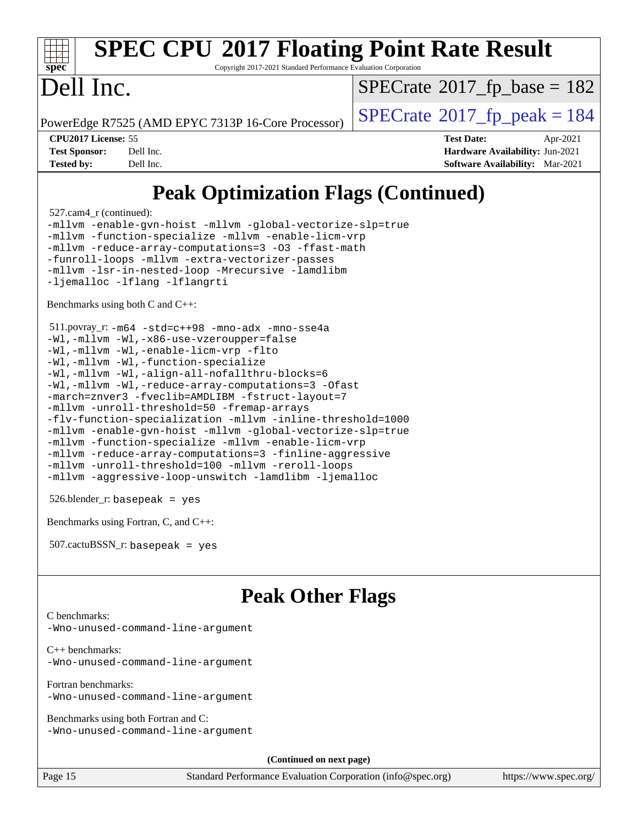|  | <b>SPEC CPU®2017 Floating Point Rate Result</b> |  |  |  |
|--|-------------------------------------------------|--|--|--|

Copyright 2017-2021 Standard Performance Evaluation Corporation

### ell Inc.

**[spec](http://www.spec.org/)**

 $SPECTate@2017_fp\_base = 182$ 

PowerEdge R7525 (AMD EPYC 7313P 16-Core Processor)  $\vert$  [SPECrate](http://www.spec.org/auto/cpu2017/Docs/result-fields.html#SPECrate2017fppeak)®[2017\\_fp\\_peak = 1](http://www.spec.org/auto/cpu2017/Docs/result-fields.html#SPECrate2017fppeak)84

**[CPU2017 License:](http://www.spec.org/auto/cpu2017/Docs/result-fields.html#CPU2017License)** 55 **[Test Date:](http://www.spec.org/auto/cpu2017/Docs/result-fields.html#TestDate)** Apr-2021 **[Test Sponsor:](http://www.spec.org/auto/cpu2017/Docs/result-fields.html#TestSponsor)** Dell Inc. **[Hardware Availability:](http://www.spec.org/auto/cpu2017/Docs/result-fields.html#HardwareAvailability)** Jun-2021 **[Tested by:](http://www.spec.org/auto/cpu2017/Docs/result-fields.html#Testedby)** Dell Inc. **[Software Availability:](http://www.spec.org/auto/cpu2017/Docs/result-fields.html#SoftwareAvailability)** Mar-2021

### **[Peak Optimization Flags \(Continued\)](http://www.spec.org/auto/cpu2017/Docs/result-fields.html#PeakOptimizationFlags)**

527.cam4\_r (continued):

[-mllvm -enable-gvn-hoist](http://www.spec.org/cpu2017/results/res2021q3/cpu2017-20210510-26282.flags.html#user_peakCOPTIMIZE527_cam4_r_F-enable-gvn-hoist_e5856354646dd6ca1333a0ad99b817e4cf8932b91b82809fd8fd47ceff7b22a89eba5c98fd3e3fa5200368fd772cec3dd56abc3c8f7b655a71b9f9848dddedd5) [-mllvm -global-vectorize-slp=true](http://www.spec.org/cpu2017/results/res2021q3/cpu2017-20210510-26282.flags.html#user_peakCOPTIMIZE527_cam4_r_F-global-vectorize-slp_f701c289ed3fc79483844cad3672606d268e3123d2651e764a36e57810b634b30ff7af25c43ce4288d0e4c1cc47ba156fce6ed971bc0d0e53c4c557f353d3dec) [-mllvm -function-specialize](http://www.spec.org/cpu2017/results/res2021q3/cpu2017-20210510-26282.flags.html#user_peakCOPTIMIZE527_cam4_r_F-function-specialize_233b3bdba86027f1b094368157e481c5bc59f40286dc25bfadc1858dcd5745c24fd30d5f188710db7fea399bcc9f44a80b3ce3aacc70a8870250c3ae5e1f35b8) [-mllvm -enable-licm-vrp](http://www.spec.org/cpu2017/results/res2021q3/cpu2017-20210510-26282.flags.html#user_peakCOPTIMIZE527_cam4_r_F-enable-licm-vrp_82fd83574dee81d8c8043a1355024a53ba7c23d449242d72368fd778ae4cd8625fb6c8e473e88c632367ccc13b0c321b9a13b8db897fcfc1592cf0205fd356b5) [-mllvm -reduce-array-computations=3](http://www.spec.org/cpu2017/results/res2021q3/cpu2017-20210510-26282.flags.html#user_peakCOPTIMIZE527_cam4_r_F-reduce-array-computations) [-O3](http://www.spec.org/cpu2017/results/res2021q3/cpu2017-20210510-26282.flags.html#user_peakFOPTIMIZE527_cam4_r_F-O3) [-ffast-math](http://www.spec.org/cpu2017/results/res2021q3/cpu2017-20210510-26282.flags.html#user_peakFOPTIMIZE527_cam4_r_aocc-ffast-math) [-funroll-loops](http://www.spec.org/cpu2017/results/res2021q3/cpu2017-20210510-26282.flags.html#user_peakFOPTIMIZE527_cam4_r_aocc-unroll-loops) [-mllvm -extra-vectorizer-passes](http://www.spec.org/cpu2017/results/res2021q3/cpu2017-20210510-26282.flags.html#user_peakFOPTIMIZE527_cam4_r_F-extra-vectorizer-passes_4bb9f90681e045f5ce38050c5c48e52c5a95ed819cbc44e12f6b389a91a38f1bfb7d9f51b06906bf2bd7ccd881019f6383c418982c71e3a142c10a060056d555) [-mllvm -lsr-in-nested-loop](http://www.spec.org/cpu2017/results/res2021q3/cpu2017-20210510-26282.flags.html#user_peakFOPTIMIZE527_cam4_r_F-lsr-in-nested-loop_73f878522b3ccb742989d8e6de767863b372c2128b38f859376ee3fb883bc58dcc0955f53f856eb534bcc3be9d53927141e78ef6b7f1398bb0518a7b833043eb) [-Mrecursive](http://www.spec.org/cpu2017/results/res2021q3/cpu2017-20210510-26282.flags.html#user_peakFOPTIMIZE527_cam4_r_F-mrecursive) [-lamdlibm](http://www.spec.org/cpu2017/results/res2021q3/cpu2017-20210510-26282.flags.html#user_peakEXTRA_LIBS527_cam4_r_F-lamdlibm) [-ljemalloc](http://www.spec.org/cpu2017/results/res2021q3/cpu2017-20210510-26282.flags.html#user_peakEXTRA_LIBS527_cam4_r_jemalloc-lib) [-lflang](http://www.spec.org/cpu2017/results/res2021q3/cpu2017-20210510-26282.flags.html#user_peakEXTRA_FLIBS527_cam4_r_F-lflang) [-lflangrti](http://www.spec.org/cpu2017/results/res2021q3/cpu2017-20210510-26282.flags.html#user_peakEXTRA_FLIBS527_cam4_r_F-lflangrti)

[Benchmarks using both C and C++](http://www.spec.org/auto/cpu2017/Docs/result-fields.html#BenchmarksusingbothCandCXX):

```
 511.povray_r: -m64 -std=c++98 -mno-adx -mno-sse4a
-Wl,-mllvm -Wl,-x86-use-vzeroupper=false
-Wl,-mllvm -Wl,-enable-licm-vrp -flto
-Wl,-mllvm -Wl,-function-specialize
-Wl,-mllvm -Wl,-align-all-nofallthru-blocks=6
-Wl,-mllvm -Wl,-reduce-array-computations=3 -Ofast
-march=znver3 -fveclib=AMDLIBM -fstruct-layout=7
-mllvm -unroll-threshold=50 -fremap-arrays
-flv-function-specialization -mllvm -inline-threshold=1000
-mllvm -enable-gvn-hoist -mllvm -global-vectorize-slp=true
-mllvm -function-specialize -mllvm -enable-licm-vrp
-mllvm -reduce-array-computations=3 -finline-aggressive
-mllvm -unroll-threshold=100 -mllvm -reroll-loops
-mllvm -aggressive-loop-unswitch -lamdlibm -ljemalloc
```
526.blender\_r: basepeak = yes

[Benchmarks using Fortran, C, and C++:](http://www.spec.org/auto/cpu2017/Docs/result-fields.html#BenchmarksusingFortranCandCXX)

| $507.cactuBSSN_r$ : basepeak = yes |  |  |  |  |
|------------------------------------|--|--|--|--|
|------------------------------------|--|--|--|--|

### **[Peak Other Flags](http://www.spec.org/auto/cpu2017/Docs/result-fields.html#PeakOtherFlags)**

[C benchmarks](http://www.spec.org/auto/cpu2017/Docs/result-fields.html#Cbenchmarks):

[-Wno-unused-command-line-argument](http://www.spec.org/cpu2017/results/res2021q3/cpu2017-20210510-26282.flags.html#user_CCpeak_F-Wno-unused-command-line-argument)

[C++ benchmarks:](http://www.spec.org/auto/cpu2017/Docs/result-fields.html#CXXbenchmarks) [-Wno-unused-command-line-argument](http://www.spec.org/cpu2017/results/res2021q3/cpu2017-20210510-26282.flags.html#user_CXXpeak_F-Wno-unused-command-line-argument)

[Fortran benchmarks](http://www.spec.org/auto/cpu2017/Docs/result-fields.html#Fortranbenchmarks): [-Wno-unused-command-line-argument](http://www.spec.org/cpu2017/results/res2021q3/cpu2017-20210510-26282.flags.html#user_FCpeak_F-Wno-unused-command-line-argument)

[Benchmarks using both Fortran and C](http://www.spec.org/auto/cpu2017/Docs/result-fields.html#BenchmarksusingbothFortranandC): [-Wno-unused-command-line-argument](http://www.spec.org/cpu2017/results/res2021q3/cpu2017-20210510-26282.flags.html#user_CC_FCpeak_F-Wno-unused-command-line-argument)

**(Continued on next page)**